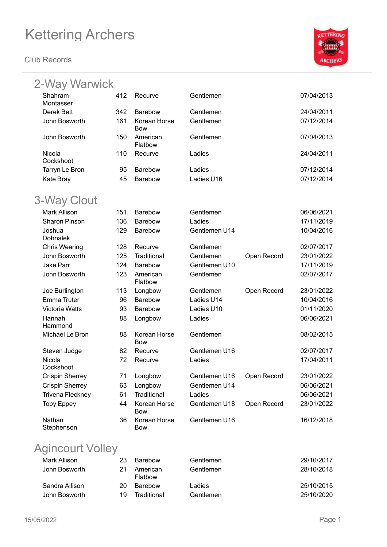**Club Records**



| 2-Way Warwick        |     |                            |            |            |
|----------------------|-----|----------------------------|------------|------------|
| Shahram<br>Montasser | 412 | Recurve                    | Gentlemen  | 07/04/2013 |
| Derek Bett           | 342 | Barebow                    | Gentlemen  | 24/04/2011 |
| John Bosworth        | 161 | Korean Horse<br><b>Bow</b> | Gentlemen  | 07/12/2014 |
| John Bosworth        | 150 | American<br>Flatbow        | Gentlemen  | 07/04/2013 |
| Nicola<br>Cockshoot  | 110 | Recurve                    | Ladies     | 24/04/2011 |
| Tarryn Le Bron       | 95  | <b>Barebow</b>             | Ladies     | 07/12/2014 |
| Kate Bray            | 45  | <b>Barebow</b>             | Ladies U16 | 07/12/2014 |

#### 3-Way Clout

| <b>Mark Allison</b>     | 151 | <b>Barebow</b>             | Gentlemen     |             | 06/06/2021 |
|-------------------------|-----|----------------------------|---------------|-------------|------------|
| <b>Sharon Pinson</b>    | 136 | <b>Barebow</b>             | Ladies        |             | 17/11/2019 |
| Joshua<br>Dohnalek      | 129 | <b>Barebow</b>             | Gentlemen U14 |             | 10/04/2016 |
| <b>Chris Wearing</b>    | 128 | Recurve                    | Gentlemen     |             | 02/07/2017 |
| John Bosworth           | 125 | Traditional                | Gentlemen     | Open Record | 23/01/2022 |
| <b>Jake Parr</b>        | 124 | <b>Barebow</b>             | Gentlemen U10 |             | 17/11/2019 |
| John Bosworth           | 123 | American<br>Flatbow        | Gentlemen     |             | 02/07/2017 |
| Joe Burlington          | 113 | Longbow                    | Gentlemen     | Open Record | 23/01/2022 |
| <b>Emma Truter</b>      | 96  | Barebow                    | Ladies U14    |             | 10/04/2016 |
| <b>Victoria Watts</b>   | 93  | <b>Barebow</b>             | Ladies U10    |             | 01/11/2020 |
| Hannah<br>Hammond       | 88  | Longbow                    | Ladies        |             | 06/06/2021 |
| Michael Le Bron         | 88  | Korean Horse<br><b>Bow</b> | Gentlemen     |             | 08/02/2015 |
| Steven Judge            | 82  | Recurve                    | Gentlemen U16 |             | 02/07/2017 |
| Nicola<br>Cockshoot     | 72  | Recurve                    | Ladies        |             | 17/04/2011 |
| <b>Crispin Sherrey</b>  | 71  | Longbow                    | Gentlemen U16 | Open Record | 23/01/2022 |
| <b>Crispin Sherrey</b>  | 63  | Longbow                    | Gentlemen U14 |             | 06/06/2021 |
| <b>Trivena Fleckney</b> | 61  | Traditional                | Ladies        |             | 06/06/2021 |
| <b>Toby Eppey</b>       | 44  | Korean Horse<br><b>Bow</b> | Gentlemen U18 | Open Record | 23/01/2022 |
| Nathan<br>Stephenson    | 36  | Korean Horse<br>Bow        | Gentlemen U16 |             | 16/12/2018 |

### Agincourt Volley

| Mark Allison   | 23 | Barebow             | Gentlemen | 29/10/2017 |
|----------------|----|---------------------|-----------|------------|
| John Bosworth  | 21 | American<br>Flatbow | Gentlemen | 28/10/2018 |
| Sandra Allison | 20 | Barebow             | Ladies    | 25/10/2015 |
| John Bosworth  | 19 | Traditional         | Gentlemen | 25/10/2020 |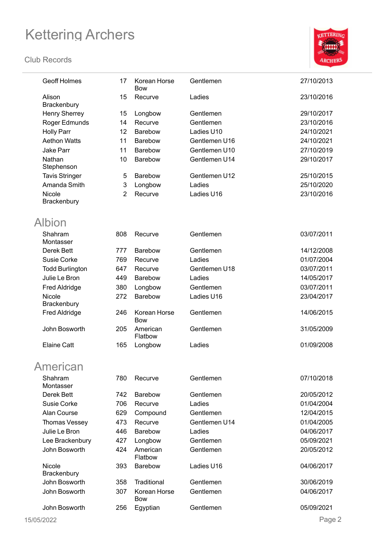

| <b>Geoff Holmes</b>    | 17             | Korean Horse<br><b>Bow</b> | Gentlemen     | 27/10/2013 |
|------------------------|----------------|----------------------------|---------------|------------|
| Alison<br>Brackenbury  | 15             | Recurve                    | Ladies        | 23/10/2016 |
| <b>Henry Sherrey</b>   | 15             | Longbow                    | Gentlemen     | 29/10/2017 |
| Roger Edmunds          | 14             | Recurve                    | Gentlemen     | 23/10/2016 |
| <b>Holly Parr</b>      | 12             | Barebow                    | Ladies U10    | 24/10/2021 |
| <b>Aethon Watts</b>    | 11             | Barebow                    | Gentlemen U16 | 24/10/2021 |
| <b>Jake Parr</b>       | 11             | Barebow                    | Gentlemen U10 | 27/10/2019 |
| Nathan                 | 10             | Barebow                    | Gentlemen U14 | 29/10/2017 |
| Stephenson             |                |                            |               |            |
| <b>Tavis Stringer</b>  | 5              | Barebow                    | Gentlemen U12 | 25/10/2015 |
| Amanda Smith           | 3              | Longbow                    | Ladies        | 25/10/2020 |
| Nicole                 | $\overline{2}$ | Recurve                    | Ladies U16    | 23/10/2016 |
| Brackenbury            |                |                            |               |            |
| Albion                 |                |                            |               |            |
| Shahram<br>Montasser   | 808            | Recurve                    | Gentlemen     | 03/07/2011 |
| Derek Bett             | 777            | <b>Barebow</b>             | Gentlemen     | 14/12/2008 |
| Susie Corke            | 769            | Recurve                    | Ladies        | 01/07/2004 |
| <b>Todd Burlington</b> | 647            | Recurve                    | Gentlemen U18 | 03/07/2011 |
| Julie Le Bron          | 449            | Barebow                    | Ladies        | 14/05/2017 |
| <b>Fred Aldridge</b>   | 380            | Longbow                    | Gentlemen     | 03/07/2011 |
| Nicole<br>Brackenbury  | 272            | Barebow                    | Ladies U16    | 23/04/2017 |
| Fred Aldridge          | 246            | Korean Horse<br><b>Bow</b> | Gentlemen     | 14/06/2015 |
| John Bosworth          | 205            | American<br>Flatbow        | Gentlemen     | 31/05/2009 |
| <b>Elaine Catt</b>     | 165            | Longbow                    | Ladies        | 01/09/2008 |
| American               |                |                            |               |            |
| Shahram                | 780            | Recurve                    | Gentlemen     | 07/10/2018 |
| Montasser              |                |                            |               |            |
| Derek Bett             | 742            | <b>Barebow</b>             | Gentlemen     | 20/05/2012 |
| Susie Corke            | 706            | Recurve                    | Ladies        | 01/04/2004 |
| Alan Course            | 629            | Compound                   | Gentlemen     | 12/04/2015 |
| Thomas Vessey          | 473            | Recurve                    | Gentlemen U14 | 01/04/2005 |
| Julie Le Bron          | 446            | Barebow                    | Ladies        | 04/06/2017 |
| Lee Brackenbury        | 427            | Longbow                    | Gentlemen     | 05/09/2021 |
| John Bosworth          | 424            | American<br>Flatbow        | Gentlemen     | 20/05/2012 |
| Nicole<br>Brackenbury  | 393            | Barebow                    | Ladies U16    | 04/06/2017 |
| John Bosworth          | 358            | Traditional                | Gentlemen     | 30/06/2019 |
| John Bosworth          | 307            | Korean Horse<br><b>Bow</b> | Gentlemen     | 04/06/2017 |
| John Bosworth          | 256            | Egyptian                   | Gentlemen     | 05/09/2021 |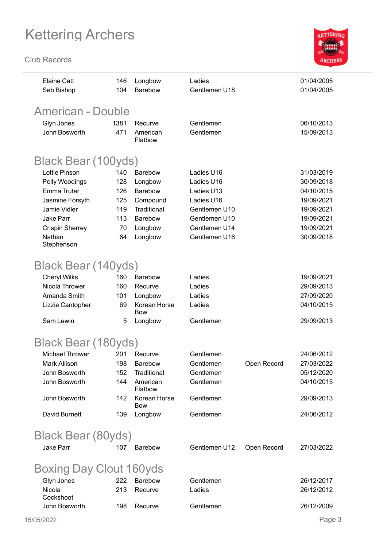

| <b>Elaine Catt</b><br>Seb Bishop | 146<br>104  | Longbow<br>Barebow         | Ladies<br>Gentlemen U18 |             | 01/04/2005<br>01/04/2005 |
|----------------------------------|-------------|----------------------------|-------------------------|-------------|--------------------------|
| American - Double                |             |                            |                         |             |                          |
|                                  |             |                            |                         |             |                          |
| Glyn Jones<br>John Bosworth      | 1381<br>471 | Recurve<br>American        | Gentlemen<br>Gentlemen  |             | 06/10/2013<br>15/09/2013 |
|                                  |             | Flatbow                    |                         |             |                          |
| Black Bear (100yds)              |             |                            |                         |             |                          |
| <b>Lottie Pinson</b>             | 140         | <b>Barebow</b>             | Ladies U16              |             | 31/03/2019               |
| Polly Woodings                   | 128         | Longbow                    | Ladies U16              |             | 30/09/2018               |
| <b>Emma Truter</b>               | 126         | Barebow                    | Ladies U13              |             | 04/10/2015               |
| Jasmine Forsyth                  | 125         | Compound                   | Ladies U16              |             | 19/09/2021               |
| Jamie Vidler                     | 119         | Traditional                | Gentlemen U10           |             | 19/09/2021               |
| Jake Parr                        | 113         | Barebow                    | Gentlemen U10           |             | 19/09/2021               |
| <b>Crispin Sherrey</b>           | 70          | Longbow                    | Gentlemen U14           |             | 19/09/2021               |
| Nathan                           | 64          | Longbow                    | Gentlemen U16           |             | 30/09/2018               |
| Stephenson                       |             |                            |                         |             |                          |
| Black Bear (140yds)              |             |                            |                         |             |                          |
| <b>Cheryl Wilks</b>              | 160         | <b>Barebow</b>             | Ladies                  |             | 19/09/2021               |
| Nicola Thrower                   | 160         | Recurve                    | Ladies                  |             | 29/09/2013               |
| Amanda Smith                     | 101         | Longbow                    | Ladies                  |             | 27/09/2020               |
| Lizzie Cantopher                 | 69          | Korean Horse<br><b>Bow</b> | Ladies                  |             | 04/10/2015               |
| Sam Lewin                        | 5           | Longbow                    | Gentlemen               |             | 29/09/2013               |
| Black Bear (180yds)              |             |                            |                         |             |                          |
| <b>Michael Thrower</b>           | 201         | Recurve                    | Gentlemen               |             | 24/06/2012               |
| Mark Allison                     | 198         | Barebow                    | Gentlemen               | Open Record | 27/03/2022               |
| John Bosworth                    | 152         | Traditional                | Gentlemen               |             | 05/12/2020               |
| John Bosworth                    | 144         | American<br>Flatbow        | Gentlemen               |             | 04/10/2015               |
| John Bosworth                    | 142         | Korean Horse<br><b>Bow</b> | Gentlemen               |             | 29/09/2013               |
| David Burnett                    | 139         | Longbow                    | Gentlemen               |             | 24/06/2012               |
| Black Bear (80yds)               |             |                            |                         |             |                          |
| <b>Jake Parr</b>                 | 107         | <b>Barebow</b>             | Gentlemen U12           | Open Record | 27/03/2022               |
| <b>Boxing Day Clout 160yds</b>   |             |                            |                         |             |                          |
| Glyn Jones                       | 222         | Barebow                    | Gentlemen               |             | 26/12/2017               |
| Nicola                           | 213         | Recurve                    | Ladies                  |             | 26/12/2012               |
| Cockshoot                        |             |                            |                         |             |                          |
| John Bosworth                    | 198         | Recurve                    | Gentlemen               |             | 26/12/2009               |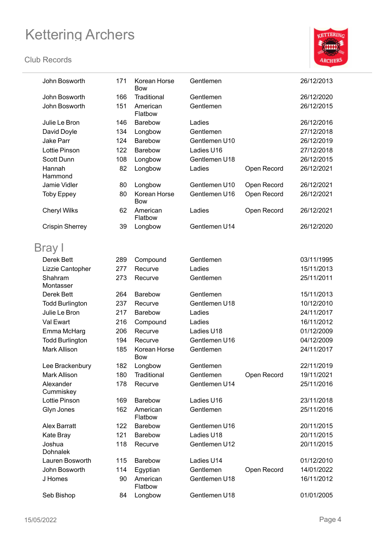

| John Bosworth             | 171 | Korean Horse<br><b>Bow</b> | Gentlemen     |             | 26/12/2013 |
|---------------------------|-----|----------------------------|---------------|-------------|------------|
| John Bosworth             | 166 | Traditional                | Gentlemen     |             | 26/12/2020 |
| John Bosworth             | 151 | American<br>Flatbow        | Gentlemen     |             | 26/12/2015 |
| Julie Le Bron             | 146 | Barebow                    | Ladies        |             | 26/12/2016 |
| David Doyle               | 134 | Longbow                    | Gentlemen     |             | 27/12/2018 |
| <b>Jake Parr</b>          | 124 | Barebow                    | Gentlemen U10 |             | 26/12/2019 |
| Lottie Pinson             | 122 | Barebow                    | Ladies U16    |             | 27/12/2018 |
| Scott Dunn                | 108 | Longbow                    | Gentlemen U18 |             | 26/12/2015 |
| Hannah<br>Hammond         | 82  | Longbow                    | Ladies        | Open Record | 26/12/2021 |
| Jamie Vidler              | 80  | Longbow                    | Gentlemen U10 | Open Record | 26/12/2021 |
| <b>Toby Eppey</b>         | 80  | Korean Horse<br><b>Bow</b> | Gentlemen U16 | Open Record | 26/12/2021 |
| <b>Cheryl Wilks</b>       | 62  | American<br>Flatbow        | Ladies        | Open Record | 26/12/2021 |
| <b>Crispin Sherrey</b>    | 39  | Longbow                    | Gentlemen U14 |             | 26/12/2020 |
| Bray I                    |     |                            |               |             |            |
| Derek Bett                | 289 | Compound                   | Gentlemen     |             | 03/11/1995 |
| Lizzie Cantopher          | 277 | Recurve                    | Ladies        |             | 15/11/2013 |
| Shahram<br>Montasser      | 273 | Recurve                    | Gentlemen     |             | 25/11/2011 |
| Derek Bett                | 264 | <b>Barebow</b>             | Gentlemen     |             | 15/11/2013 |
| <b>Todd Burlington</b>    | 237 | Recurve                    | Gentlemen U18 |             | 10/12/2010 |
| Julie Le Bron             | 217 | Barebow                    | Ladies        |             | 24/11/2017 |
| Val Ewart                 | 216 | Compound                   | Ladies        |             | 16/11/2012 |
| Emma McHarg               | 206 | Recurve                    | Ladies U18    |             | 01/12/2009 |
| <b>Todd Burlington</b>    | 194 | Recurve                    | Gentlemen U16 |             | 04/12/2009 |
| <b>Mark Allison</b>       | 185 | Korean Horse<br><b>Bow</b> | Gentlemen     |             | 24/11/2017 |
| Lee Brackenbury           | 182 | Longbow                    | Gentlemen     |             | 22/11/2019 |
| <b>Mark Allison</b>       | 180 | Traditional                | Gentlemen     | Open Record | 19/11/2021 |
| Alexander<br>Cummiskey    | 178 | Recurve                    | Gentlemen U14 |             | 25/11/2016 |
| <b>Lottie Pinson</b>      | 169 | <b>Barebow</b>             | Ladies U16    |             | 23/11/2018 |
| Glyn Jones                | 162 | American<br>Flatbow        | Gentlemen     |             | 25/11/2016 |
| <b>Alex Barratt</b>       | 122 | Barebow                    | Gentlemen U16 |             | 20/11/2015 |
| Kate Bray                 | 121 | Barebow                    | Ladies U18    |             | 20/11/2015 |
| Joshua<br><b>Dohnalek</b> | 118 | Recurve                    | Gentlemen U12 |             | 20/11/2015 |
| Lauren Bosworth           | 115 | Barebow                    | Ladies U14    |             | 01/12/2010 |
| John Bosworth             | 114 | Egyptian                   | Gentlemen     | Open Record | 14/01/2022 |
| J Homes                   | 90  | American<br>Flatbow        | Gentlemen U18 |             | 16/11/2012 |
| Seb Bishop                | 84  | Longbow                    | Gentlemen U18 |             | 01/01/2005 |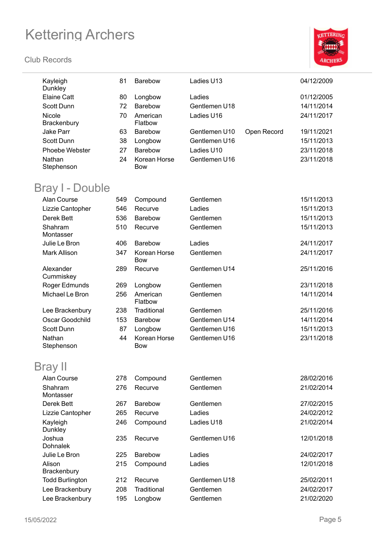

| Kayleigh<br>Dunkley                  | 81         | Barebow                 | Ladies U13    |             | 04/12/2009               |
|--------------------------------------|------------|-------------------------|---------------|-------------|--------------------------|
| <b>Elaine Catt</b>                   | 80         | Longbow                 | Ladies        |             | 01/12/2005               |
| <b>Scott Dunn</b>                    | 72         | Barebow                 | Gentlemen U18 |             | 14/11/2014               |
| Nicole                               | 70         | American                | Ladies U16    |             | 24/11/2017               |
| Brackenbury                          |            | Flatbow                 |               |             |                          |
| <b>Jake Parr</b>                     | 63         | Barebow                 | Gentlemen U10 | Open Record | 19/11/2021               |
| Scott Dunn                           | 38         | Longbow                 | Gentlemen U16 |             | 15/11/2013               |
| Phoebe Webster                       | 27         | Barebow                 | Ladies U10    |             | 23/11/2018               |
| Nathan                               | 24         | Korean Horse            | Gentlemen U16 |             | 23/11/2018               |
| Stephenson                           |            | <b>Bow</b>              |               |             |                          |
| <b>Bray I - Double</b>               |            |                         |               |             |                          |
| Alan Course                          | 549        | Compound                | Gentlemen     |             | 15/11/2013               |
| Lizzie Cantopher                     | 546        | Recurve                 | Ladies        |             | 15/11/2013               |
| Derek Bett                           | 536        | Barebow                 | Gentlemen     |             | 15/11/2013               |
| Shahram                              | 510        | Recurve                 | Gentlemen     |             | 15/11/2013               |
| Montasser                            |            |                         | Ladies        |             |                          |
| Julie Le Bron<br><b>Mark Allison</b> | 406<br>347 | Barebow<br>Korean Horse | Gentlemen     |             | 24/11/2017<br>24/11/2017 |
|                                      |            | <b>Bow</b>              |               |             |                          |
| Alexander<br>Cummiskey               | 289        | Recurve                 | Gentlemen U14 |             | 25/11/2016               |
| Roger Edmunds                        | 269        | Longbow                 | Gentlemen     |             | 23/11/2018               |
| Michael Le Bron                      | 256        | American<br>Flatbow     | Gentlemen     |             | 14/11/2014               |
| Lee Brackenbury                      | 238        | Traditional             | Gentlemen     |             | 25/11/2016               |
| Oscar Goodchild                      | 153        | Barebow                 | Gentlemen U14 |             | 14/11/2014               |
| Scott Dunn                           | 87         | Longbow                 | Gentlemen U16 |             | 15/11/2013               |
| Nathan                               | 44         | Korean Horse            | Gentlemen U16 |             | 23/11/2018               |
| Stephenson                           |            | <b>Bow</b>              |               |             |                          |
| <b>Bray II</b>                       |            |                         |               |             |                          |
| Alan Course                          | 278        | Compound                | Gentlemen     |             | 28/02/2016               |
| Shahram<br>Montasser                 | 276        | Recurve                 | Gentlemen     |             | 21/02/2014               |
| Derek Bett                           | 267        | <b>Barebow</b>          | Gentlemen     |             | 27/02/2015               |
| Lizzie Cantopher                     | 265        | Recurve                 | Ladies        |             | 24/02/2012               |
| Kayleigh                             | 246        | Compound                | Ladies U18    |             | 21/02/2014               |
| Dunkley                              |            |                         |               |             |                          |
| Joshua<br><b>Dohnalek</b>            | 235        | Recurve                 | Gentlemen U16 |             | 12/01/2018               |
| Julie Le Bron                        | 225        | Barebow                 | Ladies        |             | 24/02/2017               |
| Alison<br>Brackenbury                | 215        | Compound                | Ladies        |             | 12/01/2018               |
| <b>Todd Burlington</b>               | 212        | Recurve                 | Gentlemen U18 |             | 25/02/2011               |
| Lee Brackenbury                      | 208        | Traditional             | Gentlemen     |             | 24/02/2017               |
| Lee Brackenbury                      | 195        | Longbow                 | Gentlemen     |             | 21/02/2020               |
|                                      |            |                         |               |             |                          |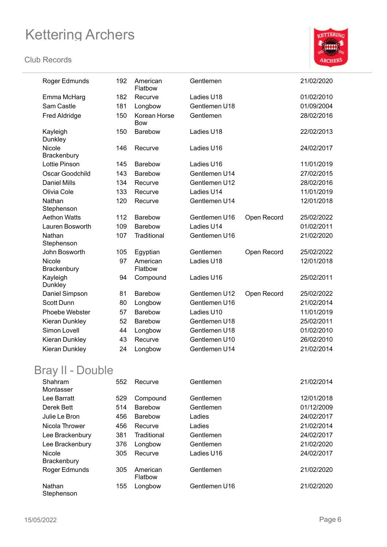#### **Club Records**



| Roger Edmunds         | 192 | American<br>Flatbow        | Gentlemen     |             | 21/02/2020 |
|-----------------------|-----|----------------------------|---------------|-------------|------------|
| Emma McHarg           | 182 | Recurve                    | Ladies U18    |             | 01/02/2010 |
| Sam Castle            | 181 | Longbow                    | Gentlemen U18 |             | 01/09/2004 |
| Fred Aldridge         | 150 | Korean Horse<br><b>Bow</b> | Gentlemen     |             | 28/02/2016 |
| Kayleigh<br>Dunkley   | 150 | <b>Barebow</b>             | Ladies U18    |             | 22/02/2013 |
| Nicole<br>Brackenbury | 146 | Recurve                    | Ladies U16    |             | 24/02/2017 |
| <b>Lottie Pinson</b>  | 145 | <b>Barebow</b>             | Ladies U16    |             | 11/01/2019 |
| Oscar Goodchild       | 143 | Barebow                    | Gentlemen U14 |             | 27/02/2015 |
| <b>Daniel Mills</b>   | 134 | Recurve                    | Gentlemen U12 |             | 28/02/2016 |
| Olivia Cole           | 133 | Recurve                    | Ladies U14    |             | 11/01/2019 |
| Nathan<br>Stephenson  | 120 | Recurve                    | Gentlemen U14 |             | 12/01/2018 |
| <b>Aethon Watts</b>   | 112 | Barebow                    | Gentlemen U16 | Open Record | 25/02/2022 |
| Lauren Bosworth       | 109 | <b>Barebow</b>             | Ladies U14    |             | 01/02/2011 |
| Nathan<br>Stephenson  | 107 | Traditional                | Gentlemen U16 |             | 21/02/2020 |
| John Bosworth         | 105 | Egyptian                   | Gentlemen     | Open Record | 25/02/2022 |
| Nicole<br>Brackenbury | 97  | American<br>Flatbow        | Ladies U18    |             | 12/01/2018 |
| Kayleigh<br>Dunkley   | 94  | Compound                   | Ladies U16    |             | 25/02/2011 |
| Daniel Simpson        | 81  | Barebow                    | Gentlemen U12 | Open Record | 25/02/2022 |
| <b>Scott Dunn</b>     | 80  | Longbow                    | Gentlemen U16 |             | 21/02/2014 |
| <b>Phoebe Webster</b> | 57  | Barebow                    | Ladies U10    |             | 11/01/2019 |
| Kieran Dunkley        | 52  | Barebow                    | Gentlemen U18 |             | 25/02/2011 |
| Simon Lovell          | 44  | Longbow                    | Gentlemen U18 |             | 01/02/2010 |
| Kieran Dunkley        | 43  | Recurve                    | Gentlemen U10 |             | 26/02/2010 |
| Kieran Dunkley        | 24  | Longbow                    | Gentlemen U14 |             | 21/02/2014 |

### Bray II - Double

| Shahram<br>Montasser  | 552 | Recurve             | Gentlemen     | 21/02/2014 |
|-----------------------|-----|---------------------|---------------|------------|
| Lee Barratt           | 529 | Compound            | Gentlemen     | 12/01/2018 |
| Derek Bett            | 514 | <b>Barebow</b>      | Gentlemen     | 01/12/2009 |
| Julie Le Bron         | 456 | <b>Barebow</b>      | Ladies        | 24/02/2017 |
| Nicola Thrower        | 456 | Recurve             | Ladies        | 21/02/2014 |
| Lee Brackenbury       | 381 | Traditional         | Gentlemen     | 24/02/2017 |
| Lee Brackenbury       | 376 | Longbow             | Gentlemen     | 21/02/2020 |
| Nicole<br>Brackenbury | 305 | Recurve             | Ladies U16    | 24/02/2017 |
| Roger Edmunds         | 305 | American<br>Flatbow | Gentlemen     | 21/02/2020 |
| Nathan<br>Stephenson  | 155 | Longbow             | Gentlemen U16 | 21/02/2020 |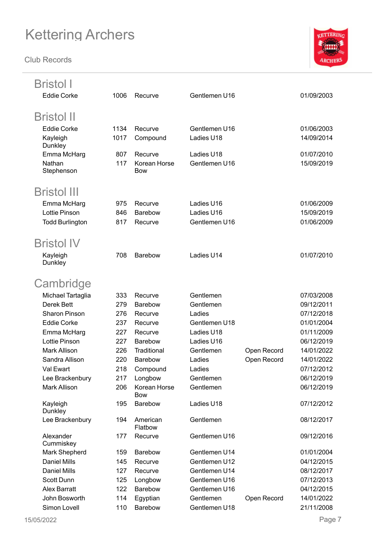

| <b>Bristol I</b>                |            |                            |                        |             |                          |
|---------------------------------|------------|----------------------------|------------------------|-------------|--------------------------|
| <b>Eddie Corke</b>              | 1006       | Recurve                    | Gentlemen U16          |             | 01/09/2003               |
| <b>Bristol II</b>               |            |                            |                        |             |                          |
| <b>Eddie Corke</b>              | 1134       | Recurve                    | Gentlemen U16          |             | 01/06/2003               |
| Kayleigh                        | 1017       | Compound                   | Ladies U18             |             | 14/09/2014               |
| Dunkley                         |            |                            |                        |             |                          |
| Emma McHarg                     | 807        | Recurve                    | Ladies U18             |             | 01/07/2010               |
| Nathan<br>Stephenson            | 117        | Korean Horse<br><b>Bow</b> | Gentlemen U16          |             | 15/09/2019               |
|                                 |            |                            |                        |             |                          |
| <b>Bristol III</b>              |            |                            |                        |             |                          |
| Emma McHarg                     | 975        | Recurve                    | Ladies U16             |             | 01/06/2009               |
| <b>Lottie Pinson</b>            | 846        | <b>Barebow</b>             | Ladies U16             |             | 15/09/2019               |
| <b>Todd Burlington</b>          | 817        | Recurve                    | Gentlemen U16          |             | 01/06/2009               |
|                                 |            |                            |                        |             |                          |
| <b>Bristol IV</b>               |            |                            |                        |             |                          |
| Kayleigh<br>Dunkley             | 708        | <b>Barebow</b>             | Ladies U14             |             | 01/07/2010               |
|                                 |            |                            |                        |             |                          |
| Cambridge                       |            |                            |                        |             |                          |
| Michael Tartaglia<br>Derek Bett | 333        | Recurve                    | Gentlemen<br>Gentlemen |             | 07/03/2008<br>09/12/2011 |
| <b>Sharon Pinson</b>            | 279<br>276 | <b>Barebow</b><br>Recurve  | Ladies                 |             | 07/12/2018               |
| <b>Eddie Corke</b>              | 237        | Recurve                    | Gentlemen U18          |             | 01/01/2004               |
| Emma McHarg                     | 227        | Recurve                    | Ladies U18             |             | 01/11/2009               |
| <b>Lottie Pinson</b>            | 227        | <b>Barebow</b>             | Ladies U16             |             | 06/12/2019               |
| <b>Mark Allison</b>             | 226        | Traditional                | Gentlemen              | Open Record | 14/01/2022               |
| Sandra Allison                  | 220        | <b>Barebow</b>             | Ladies                 | Open Record | 14/01/2022               |
| Val Ewart                       | 218        | Compound                   | Ladies                 |             | 07/12/2012               |
| Lee Brackenbury                 | 217        | Longbow                    | Gentlemen              |             | 06/12/2019               |
| <b>Mark Allison</b>             | 206        | Korean Horse<br><b>Bow</b> | Gentlemen              |             | 06/12/2019               |
| Kayleigh<br>Dunkley             | 195        | <b>Barebow</b>             | Ladies U18             |             | 07/12/2012               |
| Lee Brackenbury                 | 194        | American<br>Flatbow        | Gentlemen              |             | 08/12/2017               |
| Alexander<br>Cummiskey          | 177        | Recurve                    | Gentlemen U16          |             | 09/12/2016               |
| Mark Shepherd                   | 159        | <b>Barebow</b>             | Gentlemen U14          |             | 01/01/2004               |
| <b>Daniel Mills</b>             | 145        | Recurve                    | Gentlemen U12          |             | 04/12/2015               |
| <b>Daniel Mills</b>             | 127        | Recurve                    | Gentlemen U14          |             | 08/12/2017               |
| Scott Dunn                      | 125        | Longbow                    | Gentlemen U16          |             | 07/12/2013               |
| <b>Alex Barratt</b>             | 122        | Barebow                    | Gentlemen U16          |             | 04/12/2015               |
| John Bosworth                   | 114        | Egyptian                   | Gentlemen              | Open Record | 14/01/2022               |
| Simon Lovell                    | 110        | Barebow                    | Gentlemen U18          |             | 21/11/2008               |
| 15/05/2022                      |            |                            |                        |             | Page 7                   |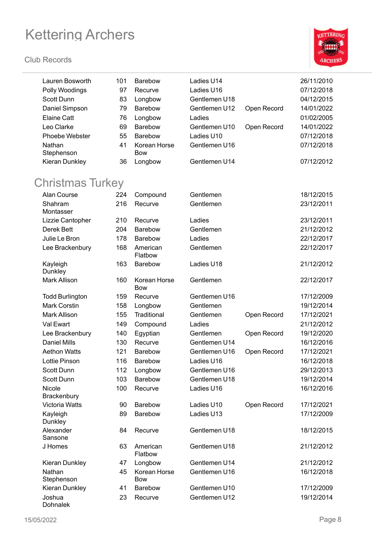

| <b>Lauren Bosworth</b>  | 101 | <b>Barebow</b>      | Ladies U14    |             | 26/11/2010 |
|-------------------------|-----|---------------------|---------------|-------------|------------|
| Polly Woodings          | 97  | Recurve             | Ladies U16    |             | 07/12/2018 |
| Scott Dunn              | 83  | Longbow             | Gentlemen U18 |             | 04/12/2015 |
| Daniel Simpson          | 79  | Barebow             | Gentlemen U12 | Open Record | 14/01/2022 |
| <b>Elaine Catt</b>      | 76  | Longbow             | Ladies        |             | 01/02/2005 |
| Leo Clarke              | 69  | Barebow             | Gentlemen U10 | Open Record | 14/01/2022 |
| Phoebe Webster          | 55  | Barebow             | Ladies U10    |             | 07/12/2018 |
| Nathan                  | 41  | Korean Horse        | Gentlemen U16 |             | 07/12/2018 |
| Stephenson              |     | <b>Bow</b>          |               |             |            |
| Kieran Dunkley          | 36  | Longbow             | Gentlemen U14 |             | 07/12/2012 |
|                         |     |                     |               |             |            |
| <b>Christmas Turkey</b> |     |                     |               |             |            |
| Alan Course             | 224 | Compound            | Gentlemen     |             | 18/12/2015 |
| Shahram                 | 216 | Recurve             | Gentlemen     |             | 23/12/2011 |
| Montasser               |     |                     |               |             |            |
| Lizzie Cantopher        | 210 | Recurve             | Ladies        |             | 23/12/2011 |
| Derek Bett              | 204 | <b>Barebow</b>      | Gentlemen     |             | 21/12/2012 |
| Julie Le Bron           | 178 | Barebow             | Ladies        |             | 22/12/2017 |
| Lee Brackenbury         | 168 | American            | Gentlemen     |             | 22/12/2017 |
|                         |     | Flatbow             |               |             |            |
| Kayleigh<br>Dunkley     | 163 | Barebow             | Ladies U18    |             | 21/12/2012 |
| Mark Allison            | 160 | Korean Horse        | Gentlemen     |             | 22/12/2017 |
|                         |     | <b>Bow</b>          |               |             |            |
| <b>Todd Burlington</b>  | 159 | Recurve             | Gentlemen U16 |             | 17/12/2009 |
| <b>Mark Corstin</b>     | 158 | Longbow             | Gentlemen     |             | 19/12/2014 |
| Mark Allison            | 155 | Traditional         | Gentlemen     | Open Record | 17/12/2021 |
| Val Ewart               | 149 | Compound            | Ladies        |             | 21/12/2012 |
| Lee Brackenbury         | 140 | Egyptian            | Gentlemen     | Open Record | 19/12/2020 |
| <b>Daniel Mills</b>     | 130 | Recurve             | Gentlemen U14 |             | 16/12/2016 |
| <b>Aethon Watts</b>     | 121 | Barebow             | Gentlemen U16 | Open Record | 17/12/2021 |
| Lottie Pinson           | 116 | <b>Barebow</b>      | Ladies U16    |             | 16/12/2018 |
| <b>Scott Dunn</b>       | 112 | Longbow             | Gentlemen U16 |             | 29/12/2013 |
| Scott Dunn              | 103 | Barebow             | Gentlemen U18 |             | 19/12/2014 |
| Nicole                  | 100 | Recurve             | Ladies U16    |             | 16/12/2016 |
| Brackenbury             |     |                     |               |             |            |
| Victoria Watts          | 90  | Barebow             | Ladies U10    | Open Record | 17/12/2021 |
| Kayleigh<br>Dunkley     | 89  | Barebow             | Ladies U13    |             | 17/12/2009 |
| Alexander               | 84  | Recurve             | Gentlemen U18 |             | 18/12/2015 |
| Sansone                 |     |                     |               |             |            |
| J Homes                 | 63  | American<br>Flatbow | Gentlemen U18 |             | 21/12/2012 |
| Kieran Dunkley          | 47  | Longbow             | Gentlemen U14 |             | 21/12/2012 |
| Nathan                  | 45  | Korean Horse        | Gentlemen U16 |             | 16/12/2018 |
| Stephenson              |     | <b>Bow</b>          |               |             |            |
| Kieran Dunkley          | 41  | Barebow             | Gentlemen U10 |             | 17/12/2009 |
| Joshua<br>Dohnalek      | 23  | Recurve             | Gentlemen U12 |             | 19/12/2014 |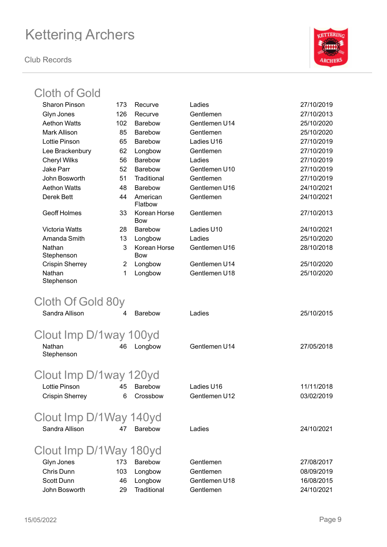**Club Records**



### Cloth of Gold

| <b>Sharon Pinson</b>                | 173 | Recurve                    | Ladies        | 27/10/2019 |
|-------------------------------------|-----|----------------------------|---------------|------------|
| Glyn Jones                          | 126 | Recurve                    | Gentlemen     | 27/10/2013 |
| <b>Aethon Watts</b>                 | 102 | Barebow                    | Gentlemen U14 | 25/10/2020 |
| <b>Mark Allison</b>                 | 85  | Barebow                    | Gentlemen     | 25/10/2020 |
| <b>Lottie Pinson</b>                | 65  | Barebow                    | Ladies U16    | 27/10/2019 |
| Lee Brackenbury                     | 62  | Longbow                    | Gentlemen     | 27/10/2019 |
| <b>Cheryl Wilks</b>                 | 56  | Barebow                    | Ladies        | 27/10/2019 |
| <b>Jake Parr</b>                    | 52  | Barebow                    | Gentlemen U10 | 27/10/2019 |
| John Bosworth                       | 51  | Traditional                | Gentlemen     | 27/10/2019 |
| <b>Aethon Watts</b>                 | 48  | Barebow                    | Gentlemen U16 | 24/10/2021 |
| <b>Derek Bett</b>                   | 44  | American<br>Flatbow        | Gentlemen     | 24/10/2021 |
| <b>Geoff Holmes</b>                 | 33  | Korean Horse<br><b>Bow</b> | Gentlemen     | 27/10/2013 |
| <b>Victoria Watts</b>               | 28  | Barebow                    | Ladies U10    | 24/10/2021 |
| Amanda Smith                        | 13  | Longbow                    | Ladies        | 25/10/2020 |
| Nathan<br>Stephenson                | 3   | Korean Horse<br><b>Bow</b> | Gentlemen U16 | 28/10/2018 |
| <b>Crispin Sherrey</b>              | 2   | Longbow                    | Gentlemen U14 | 25/10/2020 |
| Nathan<br>Stephenson                | 1   | Longbow                    | Gentlemen U18 | 25/10/2020 |
| Cloth Of Gold 80y<br>Sandra Allison | 4   | <b>Barebow</b>             | Ladies        | 25/10/2015 |
|                                     |     |                            |               |            |
| Clout Imp D/1way 100yd              |     |                            |               |            |
| Nathan<br>Stephenson                | 46  | Longbow                    | Gentlemen U14 | 27/05/2018 |
|                                     |     |                            |               |            |
| Clout Imp D/1way 120yd              |     |                            |               |            |
| <b>Lottie Pinson</b>                | 45  | <b>Barebow</b>             | Ladies U16    | 11/11/2018 |
| <b>Crispin Sherrey</b>              | 6   | Crossbow                   | Gentlemen U12 | 03/02/2019 |
| Clout Imp D/1Way 140yd              |     |                            |               |            |
| Sandra Allison                      | 47  | Barebow                    | Ladies        | 24/10/2021 |
|                                     |     |                            |               |            |
| Clout Imp D/1Way 180yd              |     |                            |               |            |
| Glyn Jones                          | 173 | Barebow                    | Gentlemen     | 27/08/2017 |
| Chris Dunn                          | 103 | Longbow                    | Gentlemen     | 08/09/2019 |
| Scott Dunn                          | 46  | Longbow                    | Gentlemen U18 | 16/08/2015 |
| John Bosworth                       | 29  | Traditional                | Gentlemen     | 24/10/2021 |
|                                     |     |                            |               |            |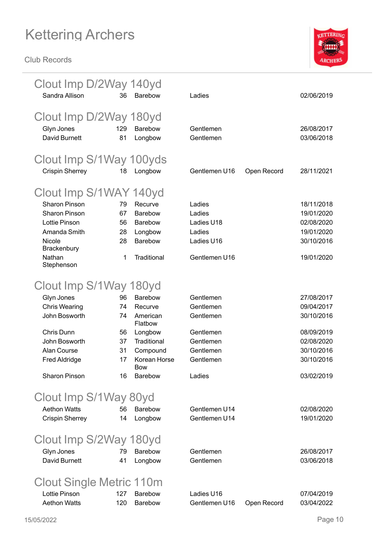

| Clout Imp D/2Way 140yd<br>Sandra Allison | 36       | <b>Barebow</b>             | Ladies                         |             | 02/06/2019               |
|------------------------------------------|----------|----------------------------|--------------------------------|-------------|--------------------------|
|                                          |          |                            |                                |             |                          |
| Clout Imp D/2Way 180yd                   |          |                            |                                |             |                          |
| Glyn Jones                               | 129      | <b>Barebow</b>             | Gentlemen                      |             | 26/08/2017               |
| David Burnett                            | 81       | Longbow                    | Gentlemen                      |             | 03/06/2018               |
|                                          |          |                            |                                |             |                          |
|                                          |          |                            |                                |             |                          |
| Clout Imp S/1Way 100yds                  |          |                            |                                |             |                          |
| <b>Crispin Sherrey</b>                   | 18       | Longbow                    | Gentlemen U16                  | Open Record | 28/11/2021               |
|                                          |          |                            |                                |             |                          |
| Clout Imp S/1WAY 140yd                   |          |                            |                                |             |                          |
| <b>Sharon Pinson</b>                     | 79       | Recurve                    | Ladies                         |             | 18/11/2018               |
| <b>Sharon Pinson</b>                     | 67       | Barebow                    | Ladies                         |             | 19/01/2020               |
| <b>Lottie Pinson</b>                     | 56       | Barebow                    | Ladies U18                     |             | 02/08/2020               |
| Amanda Smith                             | 28       | Longbow                    | Ladies                         |             | 19/01/2020               |
| Nicole<br>Brackenbury                    | 28       | Barebow                    | Ladies U16                     |             | 30/10/2016               |
| Nathan                                   | 1        | Traditional                | Gentlemen U16                  |             | 19/01/2020               |
| Stephenson                               |          |                            |                                |             |                          |
|                                          |          |                            |                                |             |                          |
| Clout Imp S/1Way 180yd                   |          |                            |                                |             |                          |
| Glyn Jones                               | 96       | <b>Barebow</b>             | Gentlemen                      |             | 27/08/2017               |
| <b>Chris Wearing</b>                     | 74       | Recurve                    | Gentlemen                      |             | 09/04/2017               |
| John Bosworth                            | 74       | American                   | Gentlemen                      |             | 30/10/2016               |
|                                          |          | Flatbow                    |                                |             |                          |
| Chris Dunn                               | 56       | Longbow                    | Gentlemen                      |             | 08/09/2019               |
| John Bosworth                            | 37       | Traditional                | Gentlemen                      |             | 02/08/2020               |
| Alan Course                              | 31       | Compound                   | Gentlemen                      |             | 30/10/2016               |
| <b>Fred Aldridge</b>                     | 17       | Korean Horse<br><b>Bow</b> | Gentlemen                      |             | 30/10/2016               |
| <b>Sharon Pinson</b>                     | 16       | Barebow                    | Ladies                         |             | 03/02/2019               |
|                                          |          |                            |                                |             |                          |
| Clout Imp S/1Way 80yd                    |          |                            |                                |             |                          |
| <b>Aethon Watts</b>                      |          |                            |                                |             |                          |
|                                          | 56<br>14 | Barebow                    | Gentlemen U14<br>Gentlemen U14 |             | 02/08/2020<br>19/01/2020 |
| <b>Crispin Sherrey</b>                   |          | Longbow                    |                                |             |                          |
|                                          |          |                            |                                |             |                          |
| Clout Imp S/2Way 180yd                   |          |                            |                                |             |                          |
| Glyn Jones                               | 79       | Barebow                    | Gentlemen                      |             | 26/08/2017               |
| David Burnett                            | 41       | Longbow                    | Gentlemen                      |             | 03/06/2018               |
|                                          |          |                            |                                |             |                          |
| Clout Single Metric 110m                 |          |                            |                                |             |                          |
| <b>Lottie Pinson</b>                     | 127      | <b>Barebow</b>             | Ladies U16                     |             | 07/04/2019               |
| <b>Aethon Watts</b>                      | 120      | Barebow                    | Gentlemen U16                  | Open Record | 03/04/2022               |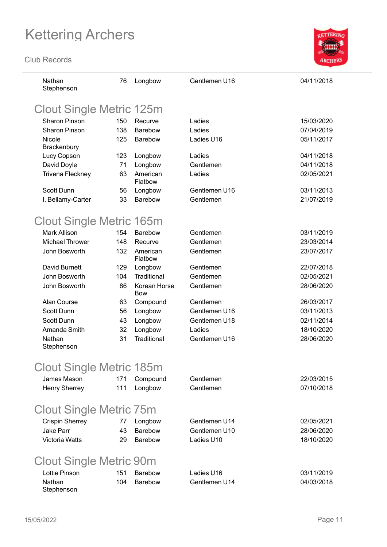

| Nathan<br>Stephenson           | 76  | Longbow                    | Gentlemen U16 | 04/11/2018 |
|--------------------------------|-----|----------------------------|---------------|------------|
| Clout Single Metric 125m       |     |                            |               |            |
| <b>Sharon Pinson</b>           | 150 | Recurve                    | Ladies        | 15/03/2020 |
| <b>Sharon Pinson</b>           | 138 | Barebow                    | Ladies        | 07/04/2019 |
| <b>Nicole</b>                  | 125 | Barebow                    | Ladies U16    | 05/11/2017 |
| Brackenbury                    |     |                            |               |            |
| Lucy Copson                    | 123 | Longbow                    | Ladies        | 04/11/2018 |
| David Doyle                    | 71  | Longbow                    | Gentlemen     | 04/11/2018 |
| Trivena Fleckney               | 63  | American<br>Flatbow        | Ladies        | 02/05/2021 |
| Scott Dunn                     | 56  | Longbow                    | Gentlemen U16 | 03/11/2013 |
| I. Bellamy-Carter              | 33  | <b>Barebow</b>             | Gentlemen     | 21/07/2019 |
| Clout Single Metric 165m       |     |                            |               |            |
| <b>Mark Allison</b>            | 154 | Barebow                    | Gentlemen     | 03/11/2019 |
| <b>Michael Thrower</b>         | 148 | Recurve                    | Gentlemen     | 23/03/2014 |
| John Bosworth                  | 132 | American<br>Flatbow        | Gentlemen     | 23/07/2017 |
| David Burnett                  | 129 | Longbow                    | Gentlemen     | 22/07/2018 |
| John Bosworth                  | 104 | Traditional                | Gentlemen     | 02/05/2021 |
| John Bosworth                  | 86  | Korean Horse<br><b>Bow</b> | Gentlemen     | 28/06/2020 |
| Alan Course                    | 63  | Compound                   | Gentlemen     | 26/03/2017 |
| Scott Dunn                     | 56  | Longbow                    | Gentlemen U16 | 03/11/2013 |
| Scott Dunn                     | 43  | Longbow                    | Gentlemen U18 | 02/11/2014 |
| Amanda Smith                   | 32  | Longbow                    | Ladies        | 18/10/2020 |
| Nathan                         | 31  | Traditional                | Gentlemen U16 | 28/06/2020 |
| Stephenson                     |     |                            |               |            |
| Clout Single Metric 185m       |     |                            |               |            |
| James Mason                    | 171 | Compound                   | Gentlemen     | 22/03/2015 |
| <b>Henry Sherrey</b>           | 111 | Longbow                    | Gentlemen     | 07/10/2018 |
| Clout Single Metric 75m        |     |                            |               |            |
| <b>Crispin Sherrey</b>         | 77  | Longbow                    | Gentlemen U14 | 02/05/2021 |
| <b>Jake Parr</b>               | 43  | <b>Barebow</b>             | Gentlemen U10 | 28/06/2020 |
| <b>Victoria Watts</b>          | 29  | Barebow                    | Ladies U10    | 18/10/2020 |
| <b>Clout Single Metric 90m</b> |     |                            |               |            |
| Lottie Pinson                  | 151 | <b>Barebow</b>             | Ladies U16    | 03/11/2019 |
| Nathan                         | 104 | <b>Barebow</b>             | Gentlemen U14 | 04/03/2018 |
| Stephenson                     |     |                            |               |            |
|                                |     |                            |               |            |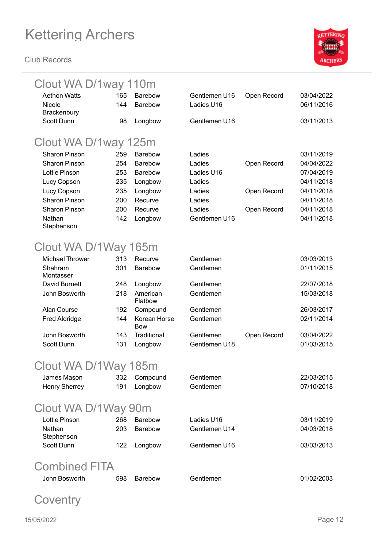**Club Records**



#### Clout WA D/1way 110m Aethon Watts 165 Barebow Gentlemen U16 Open Record 03/04/2022

| <b>Nicole</b><br>Brackenbury | 144  | <b>Barebow</b>      | Ladies U16    |             | 06/11/2016 |
|------------------------------|------|---------------------|---------------|-------------|------------|
| Scott Dunn                   | 98   | Longbow             | Gentlemen U16 |             | 03/11/2013 |
| Clout WA D/1way 125m         |      |                     |               |             |            |
| Sharon Pinson                | 259  | <b>Barebow</b>      | Ladies        |             | 03/11/2019 |
| <b>Sharon Pinson</b>         | 254  | <b>Barebow</b>      | Ladies        | Open Record | 04/04/2022 |
| Lottie Pinson                | 253  | <b>Barebow</b>      | Ladies U16    |             | 07/04/2019 |
| Lucy Copson                  | 235  | Longbow             | Ladies        |             | 04/11/2018 |
| Lucy Copson                  | 235  | Longbow             | Ladies        | Open Record | 04/11/2018 |
| <b>Sharon Pinson</b>         | 200  | Recurve             | Ladies        |             | 04/11/2018 |
| <b>Sharon Pinson</b>         | 200  | Recurve             | Ladies        | Open Record | 04/11/2018 |
| Nathan<br>Stephenson         | 142  | Longbow             | Gentlemen U16 |             | 04/11/2018 |
|                              |      |                     |               |             |            |
| Clout WA D/1Way 165m         |      |                     |               |             |            |
| Michael Thrower              | 313  | Recurve             | Gentlemen     |             | 03/03/2013 |
| Shahram<br>Montasser         | 301  | <b>Barebow</b>      | Gentlemen     |             | 01/11/2015 |
| David Burnett                | 248  | Longbow             | Gentlemen     |             | 22/07/2018 |
| John Bosworth                | 218  | American<br>Flatbow | Gentlemen     |             | 15/03/2018 |
| Alon Course                  | _מחו | Compound            | Contlomon     |             | 26/02/2017 |

| Alan Course   | 192 | Compound                   | Gentlemen     |             | 26/03/2017 |
|---------------|-----|----------------------------|---------------|-------------|------------|
| Fred Aldridge | 144 | Korean Horse<br><b>Bow</b> | Gentlemen     |             | 02/11/2014 |
| John Bosworth | 143 | Traditional                | Gentlemen     | Open Record | 03/04/2022 |
| Scott Dunn    | 131 | Longbow                    | Gentlemen U18 |             | 01/03/2015 |

### Clout WA D/1Way 185m

| James Mason          | 332 | Compound       | Gentlemen     | 22/03/2015 |
|----------------------|-----|----------------|---------------|------------|
| <b>Henry Sherrey</b> | 191 | Longbow        | Gentlemen     | 07/10/2018 |
|                      |     |                |               |            |
| Clout WA D/1Way 90m  |     |                |               |            |
| Lottie Pinson        | 268 | Barebow        | Ladies U16    | 03/11/2019 |
| <b>Nathan</b>        | 203 | Barebow        | Gentlemen U14 | 04/03/2018 |
| Stephenson           |     |                |               |            |
| <b>Scott Dunn</b>    | 122 | Longbow        | Gentlemen U16 | 03/03/2013 |
| <b>Combined FITA</b> |     |                |               |            |
|                      |     |                |               |            |
| John Bosworth        | 598 | <b>Barebow</b> | Gentlemen     | 01/02/2003 |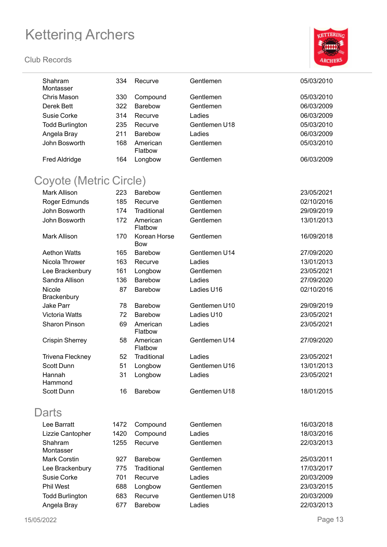

| Shahram<br>Montasser    | 334  | Recurve                    | Gentlemen     | 05/03/2010 |  |  |  |  |
|-------------------------|------|----------------------------|---------------|------------|--|--|--|--|
| Chris Mason             | 330  | Compound                   | Gentlemen     | 05/03/2010 |  |  |  |  |
| Derek Bett              | 322  | <b>Barebow</b>             | Gentlemen     | 06/03/2009 |  |  |  |  |
| Susie Corke             | 314  | Recurve                    | Ladies        | 06/03/2009 |  |  |  |  |
| <b>Todd Burlington</b>  | 235  | Recurve                    | Gentlemen U18 | 05/03/2010 |  |  |  |  |
| Angela Bray             | 211  | Barebow                    | Ladies        | 06/03/2009 |  |  |  |  |
| John Bosworth           | 168  | American<br>Flatbow        | Gentlemen     | 05/03/2010 |  |  |  |  |
| <b>Fred Aldridge</b>    | 164  | Longbow                    | Gentlemen     | 06/03/2009 |  |  |  |  |
| Coyote (Metric Circle)  |      |                            |               |            |  |  |  |  |
| <b>Mark Allison</b>     | 223  | <b>Barebow</b>             | Gentlemen     | 23/05/2021 |  |  |  |  |
| Roger Edmunds           | 185  | Recurve                    | Gentlemen     | 02/10/2016 |  |  |  |  |
| John Bosworth           | 174  | Traditional                | Gentlemen     | 29/09/2019 |  |  |  |  |
| John Bosworth           | 172  | American<br>Flatbow        | Gentlemen     | 13/01/2013 |  |  |  |  |
| <b>Mark Allison</b>     | 170  | Korean Horse<br><b>Bow</b> | Gentlemen     | 16/09/2018 |  |  |  |  |
| <b>Aethon Watts</b>     | 165  | <b>Barebow</b>             | Gentlemen U14 | 27/09/2020 |  |  |  |  |
| Nicola Thrower          | 163  | Recurve                    | Ladies        | 13/01/2013 |  |  |  |  |
| Lee Brackenbury         | 161  | Longbow                    | Gentlemen     | 23/05/2021 |  |  |  |  |
| Sandra Allison          | 136  | <b>Barebow</b>             | Ladies        | 27/09/2020 |  |  |  |  |
| Nicole                  | 87   | Barebow                    | Ladies U16    | 02/10/2016 |  |  |  |  |
| Brackenbury             |      |                            |               |            |  |  |  |  |
| <b>Jake Parr</b>        | 78   | Barebow                    | Gentlemen U10 | 29/09/2019 |  |  |  |  |
| <b>Victoria Watts</b>   | 72   | <b>Barebow</b>             | Ladies U10    | 23/05/2021 |  |  |  |  |
| <b>Sharon Pinson</b>    | 69   | American<br>Flatbow        | Ladies        | 23/05/2021 |  |  |  |  |
| <b>Crispin Sherrey</b>  | 58   | American<br>Flatbow        | Gentlemen U14 | 27/09/2020 |  |  |  |  |
| <b>Trivena Fleckney</b> | 52   | Traditional                | Ladies        | 23/05/2021 |  |  |  |  |
| <b>Scott Dunn</b>       | 51   | Longbow                    | Gentlemen U16 | 13/01/2013 |  |  |  |  |
| Hannah<br>Hammond       | 31   | Longbow                    | Ladies        | 23/05/2021 |  |  |  |  |
| Scott Dunn              | 16   | Barebow                    | Gentlemen U18 | 18/01/2015 |  |  |  |  |
| Darts                   |      |                            |               |            |  |  |  |  |
| Lee Barratt             | 1472 | Compound                   | Gentlemen     | 16/03/2018 |  |  |  |  |
| Lizzie Cantopher        | 1420 | Compound                   | Ladies        | 18/03/2016 |  |  |  |  |
| Shahram<br>Montasser    | 1255 | Recurve                    | Gentlemen     | 22/03/2013 |  |  |  |  |
| Mark Corstin            | 927  | Barebow                    | Gentlemen     | 25/03/2011 |  |  |  |  |
| Lee Brackenbury         | 775  | Traditional                | Gentlemen     | 17/03/2017 |  |  |  |  |
| Susie Corke             | 701  | Recurve                    | Ladies        | 20/03/2009 |  |  |  |  |
| Phil West               | 688  | Longbow                    | Gentlemen     | 23/03/2015 |  |  |  |  |
| <b>Todd Burlington</b>  | 683  | Recurve                    | Gentlemen U18 | 20/03/2009 |  |  |  |  |
| Angela Bray             | 677  | Barebow                    | Ladies        | 22/03/2013 |  |  |  |  |
|                         |      |                            |               |            |  |  |  |  |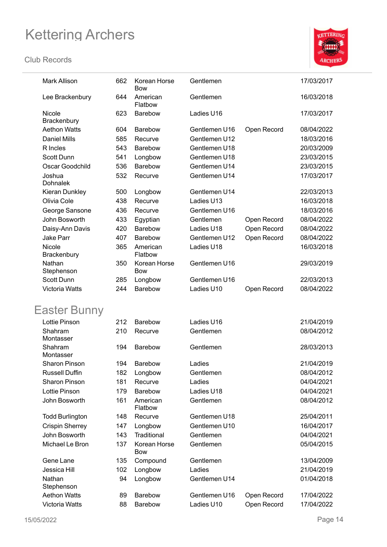

| <b>Mark Allison</b>       | 662 | Korean Horse<br><b>Bow</b> | Gentlemen     |             | 17/03/2017 |
|---------------------------|-----|----------------------------|---------------|-------------|------------|
| Lee Brackenbury           | 644 | American<br>Flatbow        | Gentlemen     |             | 16/03/2018 |
| Nicole<br>Brackenbury     | 623 | Barebow                    | Ladies U16    |             | 17/03/2017 |
| <b>Aethon Watts</b>       | 604 | <b>Barebow</b>             | Gentlemen U16 | Open Record | 08/04/2022 |
| <b>Daniel Mills</b>       | 585 | Recurve                    | Gentlemen U12 |             | 18/03/2016 |
| R Incles                  | 543 | Barebow                    | Gentlemen U18 |             | 20/03/2009 |
| Scott Dunn                | 541 | Longbow                    | Gentlemen U18 |             | 23/03/2015 |
| Oscar Goodchild           | 536 | <b>Barebow</b>             | Gentlemen U14 |             | 23/03/2015 |
| Joshua<br><b>Dohnalek</b> | 532 | Recurve                    | Gentlemen U14 |             | 17/03/2017 |
| <b>Kieran Dunkley</b>     | 500 | Longbow                    | Gentlemen U14 |             | 22/03/2013 |
| Olivia Cole               | 438 | Recurve                    | Ladies U13    |             | 16/03/2018 |
| George Sansone            | 436 | Recurve                    | Gentlemen U16 |             | 18/03/2016 |
| John Bosworth             | 433 | Egyptian                   | Gentlemen     | Open Record | 08/04/2022 |
| Daisy-Ann Davis           | 420 | Barebow                    | Ladies U18    | Open Record | 08/04/2022 |
| <b>Jake Parr</b>          | 407 | Barebow                    | Gentlemen U12 | Open Record | 08/04/2022 |
| Nicole<br>Brackenbury     | 365 | American<br>Flatbow        | Ladies U18    |             | 16/03/2018 |
| Nathan<br>Stephenson      | 350 | Korean Horse<br><b>Bow</b> | Gentlemen U16 |             | 29/03/2019 |
| <b>Scott Dunn</b>         | 285 | Longbow                    | Gentlemen U16 |             | 22/03/2013 |
| Victoria Watts            | 244 | Barebow                    | Ladies U10    | Open Record | 08/04/2022 |
| <b>Easter Bunny</b>       |     |                            |               |             |            |
| <b>Lottie Pinson</b>      | 212 | Barebow                    | Ladies U16    |             | 21/04/2019 |
| Shahram                   | 210 | Recurve                    | Gentlemen     |             | 08/04/2012 |
| Montasser<br>Shahram      | 194 | <b>Barebow</b>             | Gentlemen     |             | 28/03/2013 |
| Montasser                 |     |                            |               |             |            |
| <b>Sharon Pinson</b>      | 194 | Barebow                    | Ladies        |             | 21/04/2019 |
| <b>Russell Duffin</b>     | 182 | Longbow                    | Gentlemen     |             | 08/04/2012 |
| Sharon Pinson             | 181 | Recurve                    | Ladies        |             | 04/04/2021 |
| <b>Lottie Pinson</b>      | 179 | Barebow                    | Ladies U18    |             | 04/04/2021 |
| John Bosworth             | 161 | American<br>Flatbow        | Gentlemen     |             | 08/04/2012 |
| <b>Todd Burlington</b>    | 148 | Recurve                    | Gentlemen U18 |             | 25/04/2011 |
| <b>Crispin Sherrey</b>    | 147 | Longbow                    | Gentlemen U10 |             | 16/04/2017 |
| John Bosworth             | 143 | Traditional                | Gentlemen     |             | 04/04/2021 |
| Michael Le Bron           | 137 | Korean Horse<br>Bow        | Gentlemen     |             | 05/04/2015 |
| Gene Lane                 | 135 | Compound                   | Gentlemen     |             | 13/04/2009 |
| Jessica Hill              | 102 | Longbow                    | Ladies        |             | 21/04/2019 |
| Nathan<br>Stephenson      | 94  | Longbow                    | Gentlemen U14 |             | 01/04/2018 |
| <b>Aethon Watts</b>       | 89  | Barebow                    | Gentlemen U16 | Open Record | 17/04/2022 |
| Victoria Watts            | 88  | Barebow                    | Ladies U10    | Open Record | 17/04/2022 |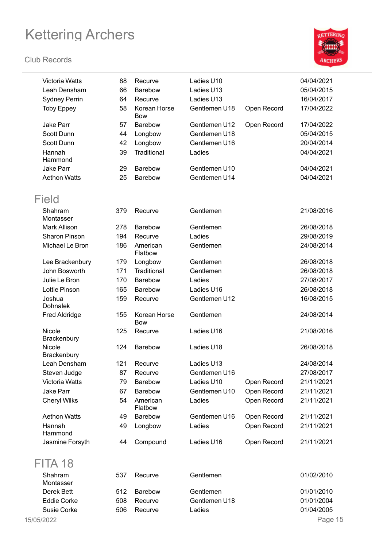

|                           | <b>Victoria Watts</b><br>Leah Densham | 88<br>66 | Recurve<br><b>Barebow</b>  | Ladies U10<br>Ladies U13 |             | 04/04/2021<br>05/04/2015 |
|---------------------------|---------------------------------------|----------|----------------------------|--------------------------|-------------|--------------------------|
|                           | <b>Sydney Perrin</b>                  | 64       | Recurve                    | Ladies U13               |             | 16/04/2017               |
| <b>Toby Eppey</b>         |                                       | 58       | Korean Horse               | Gentlemen U18            | Open Record | 17/04/2022               |
|                           |                                       |          | <b>Bow</b>                 |                          |             |                          |
| <b>Jake Parr</b>          |                                       | 57       | <b>Barebow</b>             | Gentlemen U12            | Open Record | 17/04/2022               |
| <b>Scott Dunn</b>         |                                       | 44       | Longbow                    | Gentlemen U18            |             | 05/04/2015               |
| <b>Scott Dunn</b>         |                                       | 42       | Longbow                    | Gentlemen U16            |             | 20/04/2014               |
| Hannah<br>Hammond         |                                       | 39       | Traditional                | Ladies                   |             | 04/04/2021               |
| <b>Jake Parr</b>          |                                       | 29       | <b>Barebow</b>             | Gentlemen U10            |             | 04/04/2021               |
|                           | <b>Aethon Watts</b>                   | 25       | Barebow                    | Gentlemen U14            |             | 04/04/2021               |
| Field                     |                                       |          |                            |                          |             |                          |
| Shahram<br>Montasser      |                                       | 379      | Recurve                    | Gentlemen                |             | 21/08/2016               |
| <b>Mark Allison</b>       |                                       | 278      | <b>Barebow</b>             | Gentlemen                |             | 26/08/2018               |
|                           | Sharon Pinson                         | 194      | Recurve                    | Ladies                   |             | 29/08/2019               |
|                           | Michael Le Bron                       | 186      | American<br>Flatbow        | Gentlemen                |             | 24/08/2014               |
|                           | Lee Brackenbury                       | 179      | Longbow                    | Gentlemen                |             | 26/08/2018               |
|                           | John Bosworth                         | 171      | Traditional                | Gentlemen                |             | 26/08/2018               |
|                           | Julie Le Bron                         | 170      | Barebow                    | Ladies                   |             | 27/08/2017               |
|                           | Lottie Pinson                         | 165      | Barebow                    | Ladies U16               |             | 26/08/2018               |
| Joshua<br><b>Dohnalek</b> |                                       | 159      | Recurve                    | Gentlemen U12            |             | 16/08/2015               |
|                           | <b>Fred Aldridge</b>                  | 155      | Korean Horse<br><b>Bow</b> | Gentlemen                |             | 24/08/2014               |
| Nicole                    | Brackenbury                           | 125      | Recurve                    | Ladies U16               |             | 21/08/2016               |
| Nicole                    | Brackenbury                           | 124      | <b>Barebow</b>             | Ladies U18               |             | 26/08/2018               |
|                           | Leah Densham                          | 121      | Recurve                    | Ladies U13               |             | 24/08/2014               |
|                           | Steven Judge                          | 87       | Recurve                    | Gentlemen U16            |             | 27/08/2017               |
|                           | Victoria Watts                        | 79       | Barebow                    | Ladies U10               | Open Record | 21/11/2021               |
| <b>Jake Parr</b>          |                                       | 67       | <b>Barebow</b>             | Gentlemen U10            | Open Record | 21/11/2021               |
| <b>Cheryl Wilks</b>       |                                       | 54       | American<br>Flatbow        | Ladies                   | Open Record | 21/11/2021               |
|                           | <b>Aethon Watts</b>                   | 49       | Barebow                    | Gentlemen U16            | Open Record | 21/11/2021               |
| Hannah<br>Hammond         |                                       | 49       | Longbow                    | Ladies                   | Open Record | 21/11/2021               |
|                           | Jasmine Forsyth                       | 44       | Compound                   | Ladies U16               | Open Record | 21/11/2021               |
| FITA 18                   |                                       |          |                            |                          |             |                          |
| Shahram<br>Montasser      |                                       | 537      | Recurve                    | Gentlemen                |             | 01/02/2010               |
| Derek Bett                |                                       | 512      | Barebow                    | Gentlemen                |             | 01/01/2010               |
| <b>Eddie Corke</b>        |                                       | 508      | Recurve                    | Gentlemen U18            |             | 01/01/2004               |
| Susie Corke               |                                       | 506      | Recurve                    | Ladies                   |             | 01/04/2005               |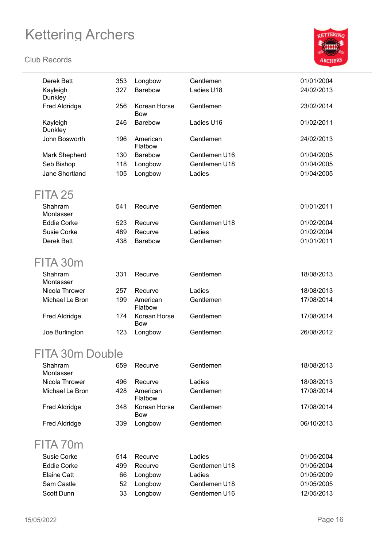#### **Club Records**



| Derek Bett           | 353 | Longbow                    | Gentlemen     | 01/01/2004 |
|----------------------|-----|----------------------------|---------------|------------|
| Kayleigh<br>Dunkley  | 327 | Barebow                    | Ladies U18    | 24/02/2013 |
| <b>Fred Aldridge</b> | 256 | Korean Horse<br><b>Bow</b> | Gentlemen     | 23/02/2014 |
| Kayleigh<br>Dunkley  | 246 | <b>Barebow</b>             | Ladies U16    | 01/02/2011 |
| John Bosworth        | 196 | American<br>Flatbow        | Gentlemen     | 24/02/2013 |
| Mark Shepherd        | 130 | Barebow                    | Gentlemen U16 | 01/04/2005 |
| Seb Bishop           | 118 | Longbow                    | Gentlemen U18 | 01/04/2005 |
| Jane Shortland       | 105 | Longbow                    | Ladies        | 01/04/2005 |
| <b>FITA 25</b>       |     |                            |               |            |
| Shahram<br>Montasser | 541 | Recurve                    | Gentlemen     | 01/01/2011 |
| <b>Eddie Corke</b>   | 523 | Recurve                    | Gentlemen U18 | 01/02/2004 |
| Susie Corke          | 489 | Recurve                    | Ladies        | 01/02/2004 |
| Derek Bett           | 438 | Barebow                    | Gentlemen     | 01/01/2011 |
| FITA 30m             |     |                            |               |            |
| Shahram<br>Montasser | 331 | Recurve                    | Gentlemen     | 18/08/2013 |
| Nicola Thrower       | 257 | Recurve                    | Ladies        | 18/08/2013 |
| Michael Le Bron      | 199 | American<br>Flatbow        | Gentlemen     | 17/08/2014 |
| <b>Fred Aldridge</b> | 174 | Korean Horse<br><b>Bow</b> | Gentlemen     | 17/08/2014 |
| Joe Burlington       | 123 | Longbow                    | Gentlemen     | 26/08/2012 |
| FITA 30m Double      |     |                            |               |            |
| Shahram<br>Montasser | 659 | Recurve                    | Gentlemen     | 18/08/2013 |
| Nicola Thrower       | 496 | Recurve                    | Ladies        | 18/08/2013 |
| Michael Le Bron      | 428 | American<br>Flatbow        | Gentlemen     | 17/08/2014 |
| <b>Fred Aldridge</b> | 348 | Korean Horse<br>Bow        | Gentlemen     | 17/08/2014 |

Fred Aldridge 339 Longbow Gentlemen 06/10/2013

#### FITA 70m

| Susie Corke | 514  | Recurve    | Ladies        | 01/05/2004 |
|-------------|------|------------|---------------|------------|
| Eddie Corke | 499. | Recurve    | Gentlemen U18 | 01/05/2004 |
| Elaine Catt |      | 66 Longbow | Ladies        | 01/05/2009 |
| Sam Castle  |      | 52 Longbow | Gentlemen U18 | 01/05/2005 |
| Scott Dunn  | 33   | Longbow    | Gentlemen U16 | 12/05/2013 |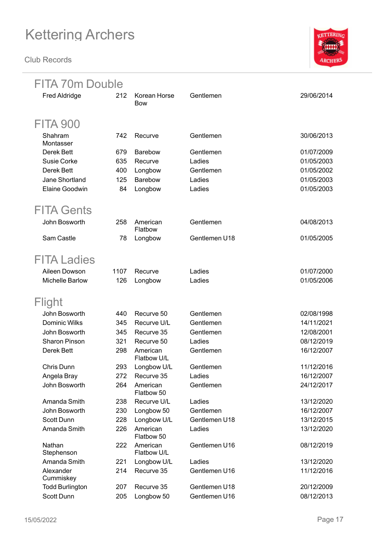

| <b>FITA 70m Double</b> |      |                            |               |            |
|------------------------|------|----------------------------|---------------|------------|
| <b>Fred Aldridge</b>   | 212  | Korean Horse<br><b>Bow</b> | Gentlemen     | 29/06/2014 |
| <b>FITA 900</b>        |      |                            |               |            |
| Shahram<br>Montasser   | 742  | Recurve                    | Gentlemen     | 30/06/2013 |
| Derek Bett             | 679  | <b>Barebow</b>             | Gentlemen     | 01/07/2009 |
| Susie Corke            | 635  | Recurve                    | Ladies        | 01/05/2003 |
| Derek Bett             | 400  | Longbow                    | Gentlemen     | 01/05/2002 |
| Jane Shortland         | 125  | <b>Barebow</b>             | Ladies        | 01/05/2003 |
| Elaine Goodwin         | 84   | Longbow                    | Ladies        | 01/05/2003 |
| <b>FITA Gents</b>      |      |                            |               |            |
| John Bosworth          | 258  | American<br>Flatbow        | Gentlemen     | 04/08/2013 |
| Sam Castle             | 78   | Longbow                    | Gentlemen U18 | 01/05/2005 |
| <b>FITA Ladies</b>     |      |                            |               |            |
| Aileen Dowson          | 1107 | Recurve                    | Ladies        | 01/07/2000 |
| Michelle Barlow        | 126  | Longbow                    | Ladies        | 01/05/2006 |
| Flight                 |      |                            |               |            |
| John Bosworth          | 440  | Recurve 50                 | Gentlemen     | 02/08/1998 |
| <b>Dominic Wilks</b>   | 345  | Recurve U/L                | Gentlemen     | 14/11/2021 |
| John Bosworth          | 345  | Recurve 35                 | Gentlemen     | 12/08/2001 |
| <b>Sharon Pinson</b>   | 321  | Recurve 50                 | Ladies        | 08/12/2019 |
| Derek Bett             | 298  | American<br>Flatbow U/L    | Gentlemen     | 16/12/2007 |
| Chris Dunn             | 293  | Longbow U/L                | Gentlemen     | 11/12/2016 |
| Angela Bray            | 272  | Recurve 35                 | Ladies        | 16/12/2007 |
| John Bosworth          | 264  | American<br>Flatbow 50     | Gentlemen     | 24/12/2017 |
| Amanda Smith           | 238  | Recurve U/L                | Ladies        | 13/12/2020 |
| John Bosworth          | 230  | Longbow 50                 | Gentlemen     | 16/12/2007 |
| Scott Dunn             | 228  | Longbow U/L                | Gentlemen U18 | 13/12/2015 |
| Amanda Smith           | 226  | American<br>Flatbow 50     | Ladies        | 13/12/2020 |
| Nathan<br>Stephenson   | 222  | American<br>Flatbow U/L    | Gentlemen U16 | 08/12/2019 |
| Amanda Smith           | 221  | Longbow U/L                | Ladies        | 13/12/2020 |
| Alexander<br>Cummiskey | 214  | Recurve 35                 | Gentlemen U16 | 11/12/2016 |
| <b>Todd Burlington</b> | 207  | Recurve 35                 | Gentlemen U18 | 20/12/2009 |
| Scott Dunn             | 205  | Longbow 50                 | Gentlemen U16 | 08/12/2013 |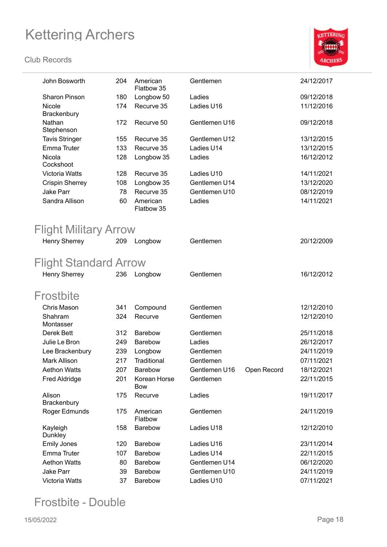#### **Club Records**



| John Bosworth                | 204 | American<br>Flatbow 35 | Gentlemen     |             | 24/12/2017 |
|------------------------------|-----|------------------------|---------------|-------------|------------|
| Sharon Pinson                | 180 | Longbow 50             | Ladies        |             | 09/12/2018 |
| Nicole<br>Brackenbury        | 174 | Recurve 35             | Ladies U16    |             | 11/12/2016 |
| Nathan<br>Stephenson         | 172 | Recurve 50             | Gentlemen U16 |             | 09/12/2018 |
| <b>Tavis Stringer</b>        | 155 | Recurve 35             | Gentlemen U12 |             | 13/12/2015 |
| Emma Truter                  | 133 | Recurve 35             | Ladies U14    |             | 13/12/2015 |
| Nicola<br>Cockshoot          | 128 | Longbow 35             | Ladies        |             | 16/12/2012 |
| Victoria Watts               | 128 | Recurve 35             | Ladies U10    |             | 14/11/2021 |
| <b>Crispin Sherrey</b>       | 108 | Longbow 35             | Gentlemen U14 |             | 13/12/2020 |
| <b>Jake Parr</b>             | 78  | Recurve 35             | Gentlemen U10 |             | 08/12/2019 |
| Sandra Allison               | 60  | American<br>Flatbow 35 | Ladies        |             | 14/11/2021 |
| <b>Flight Military Arrow</b> |     |                        |               |             |            |
| <b>Henry Sherrey</b>         | 209 | Longbow                | Gentlemen     |             | 20/12/2009 |
|                              |     |                        |               |             |            |
| <b>Flight Standard Arrow</b> |     |                        |               |             |            |
| <b>Henry Sherrey</b>         | 236 | Longbow                | Gentlemen     |             | 16/12/2012 |
|                              |     |                        |               |             |            |
| <b>Frostbite</b>             |     |                        |               |             |            |
| <b>Chris Mason</b>           | 341 | Compound               | Gentlemen     |             | 12/12/2010 |
| Shahram<br>Montasser         | 324 | Recurve                | Gentlemen     |             | 12/12/2010 |
| Derek Bett                   | 312 | <b>Barebow</b>         | Gentlemen     |             | 25/11/2018 |
| Julie Le Bron                | 249 | <b>Barebow</b>         | Ladies        |             | 26/12/2017 |
| Lee Brackenbury              | 239 | Longbow                | Gentlemen     |             | 24/11/2019 |
| Mark Allison                 | 217 | Traditional            | Gentlemen     |             | 07/11/2021 |
| <b>Aethon Watts</b>          | 207 | <b>Barebow</b>         | Gentlemen U16 | Open Record | 18/12/2021 |
| <b>Fred Aldridge</b>         | 201 | Korean Horse<br>Bow    | Gentlemen     |             | 22/11/2015 |
| Alison<br>Brackenbury        | 175 | Recurve                | Ladies        |             | 19/11/2017 |
| Roger Edmunds                | 175 | American<br>Flatbow    | Gentlemen     |             | 24/11/2019 |
| Kayleigh<br>Dunkley          | 158 | Barebow                | Ladies U18    |             | 12/12/2010 |
| <b>Emily Jones</b>           | 120 | Barebow                | Ladies U16    |             | 23/11/2014 |
| Emma Truter                  | 107 | Barebow                | Ladies U14    |             | 22/11/2015 |
| <b>Aethon Watts</b>          | 80  | Barebow                | Gentlemen U14 |             | 06/12/2020 |
| Jake Parr                    | 39  | Barebow                | Gentlemen U10 |             | 24/11/2019 |
| Victoria Watts               | 37  | Barebow                | Ladies U10    |             | 07/11/2021 |

### Frostbite - Double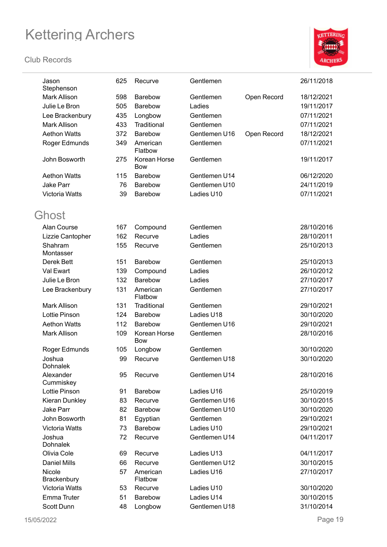#### **Club Records**

 $\overline{\phantom{a}}$ 



| Jason<br>Stephenson       | 625 | Recurve                    | Gentlemen     |             | 26/11/2018 |
|---------------------------|-----|----------------------------|---------------|-------------|------------|
| <b>Mark Allison</b>       | 598 | <b>Barebow</b>             | Gentlemen     | Open Record | 18/12/2021 |
| Julie Le Bron             | 505 | Barebow                    | Ladies        |             | 19/11/2017 |
| Lee Brackenbury           | 435 | Longbow                    | Gentlemen     |             | 07/11/2021 |
| Mark Allison              | 433 | Traditional                | Gentlemen     |             | 07/11/2021 |
| <b>Aethon Watts</b>       | 372 | Barebow                    | Gentlemen U16 | Open Record | 18/12/2021 |
| Roger Edmunds             | 349 | American                   | Gentlemen     |             | 07/11/2021 |
|                           |     | Flatbow                    |               |             |            |
| John Bosworth             | 275 | Korean Horse<br><b>Bow</b> | Gentlemen     |             | 19/11/2017 |
| <b>Aethon Watts</b>       | 115 | Barebow                    | Gentlemen U14 |             | 06/12/2020 |
| <b>Jake Parr</b>          | 76  | Barebow                    | Gentlemen U10 |             | 24/11/2019 |
| Victoria Watts            | 39  | Barebow                    | Ladies U10    |             | 07/11/2021 |
| Ghost                     |     |                            |               |             |            |
| Alan Course               | 167 | Compound                   | Gentlemen     |             | 28/10/2016 |
| Lizzie Cantopher          | 162 | Recurve                    | Ladies        |             | 28/10/2011 |
| Shahram                   | 155 | Recurve                    | Gentlemen     |             | 25/10/2013 |
| Montasser                 |     |                            |               |             |            |
| Derek Bett                | 151 | Barebow                    | Gentlemen     |             | 25/10/2013 |
| Val Ewart                 | 139 | Compound                   | Ladies        |             | 26/10/2012 |
| Julie Le Bron             | 132 | Barebow                    | Ladies        |             | 27/10/2017 |
| Lee Brackenbury           | 131 | American<br>Flatbow        | Gentlemen     |             | 27/10/2017 |
| Mark Allison              | 131 | Traditional                | Gentlemen     |             | 29/10/2021 |
| Lottie Pinson             | 124 | Barebow                    | Ladies U18    |             | 30/10/2020 |
| <b>Aethon Watts</b>       | 112 | Barebow                    | Gentlemen U16 |             | 29/10/2021 |
| Mark Allison              | 109 | Korean Horse<br><b>Bow</b> | Gentlemen     |             | 28/10/2016 |
| Roger Edmunds             | 105 | Longbow                    | Gentlemen     |             | 30/10/2020 |
| Joshua<br><b>Dohnalek</b> | 99  | Recurve                    | Gentlemen U18 |             | 30/10/2020 |
| Alexander<br>Cummiskey    | 95  | Recurve                    | Gentlemen U14 |             | 28/10/2016 |
| Lottie Pinson             | 91  | Barebow                    | Ladies U16    |             | 25/10/2019 |
| Kieran Dunkley            | 83  | Recurve                    | Gentlemen U16 |             | 30/10/2015 |
| <b>Jake Parr</b>          | 82  | <b>Barebow</b>             | Gentlemen U10 |             | 30/10/2020 |
| John Bosworth             | 81  | Egyptian                   | Gentlemen     |             | 29/10/2021 |
| Victoria Watts            | 73  | <b>Barebow</b>             | Ladies U10    |             | 29/10/2021 |
| Joshua<br><b>Dohnalek</b> | 72  | Recurve                    | Gentlemen U14 |             | 04/11/2017 |
| Olivia Cole               | 69  | Recurve                    | Ladies U13    |             | 04/11/2017 |
| <b>Daniel Mills</b>       | 66  | Recurve                    | Gentlemen U12 |             | 30/10/2015 |
| Nicole                    | 57  | American                   | Ladies U16    |             | 27/10/2017 |
| Brackenbury               |     | Flatbow                    |               |             |            |
| <b>Victoria Watts</b>     | 53  | Recurve                    | Ladies U10    |             | 30/10/2020 |
| Emma Truter               | 51  | Barebow                    | Ladies U14    |             | 30/10/2015 |
| Scott Dunn                | 48  | Longbow                    | Gentlemen U18 |             | 31/10/2014 |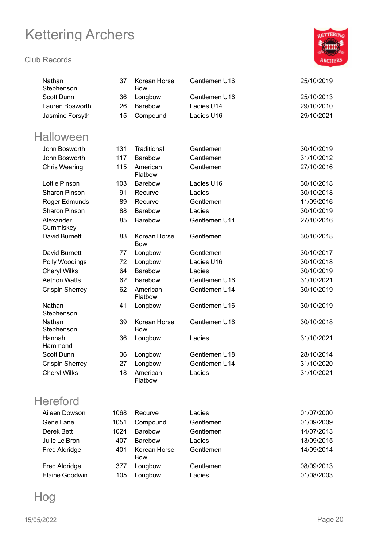#### **Club Records**



| Nathan<br>Stephenson   | 37   | Korean Horse<br><b>Bow</b> | Gentlemen U16 | 25/10/2019 |
|------------------------|------|----------------------------|---------------|------------|
| Scott Dunn             | 36   | Longbow                    | Gentlemen U16 | 25/10/2013 |
| <b>Lauren Bosworth</b> | 26   | Barebow                    | Ladies U14    | 29/10/2010 |
| Jasmine Forsyth        | 15   | Compound                   | Ladies U16    | 29/10/2021 |
|                        |      |                            |               |            |
| <b>Halloween</b>       |      |                            |               |            |
| John Bosworth          | 131  | Traditional                | Gentlemen     | 30/10/2019 |
| John Bosworth          | 117  | <b>Barebow</b>             | Gentlemen     | 31/10/2012 |
| <b>Chris Wearing</b>   | 115  | American<br>Flatbow        | Gentlemen     | 27/10/2016 |
| <b>Lottie Pinson</b>   | 103  | Barebow                    | Ladies U16    | 30/10/2018 |
| <b>Sharon Pinson</b>   | 91   | Recurve                    | Ladies        | 30/10/2018 |
| Roger Edmunds          | 89   | Recurve                    | Gentlemen     | 11/09/2016 |
| <b>Sharon Pinson</b>   | 88   | Barebow                    | Ladies        | 30/10/2019 |
| Alexander<br>Cummiskey | 85   | Barebow                    | Gentlemen U14 | 27/10/2016 |
| David Burnett          | 83   | Korean Horse<br><b>Bow</b> | Gentlemen     | 30/10/2018 |
| David Burnett          | 77   | Longbow                    | Gentlemen     | 30/10/2017 |
| Polly Woodings         | 72   | Longbow                    | Ladies U16    | 30/10/2018 |
| <b>Cheryl Wilks</b>    | 64   | <b>Barebow</b>             | Ladies        | 30/10/2019 |
| <b>Aethon Watts</b>    | 62   | <b>Barebow</b>             | Gentlemen U16 | 31/10/2021 |
| <b>Crispin Sherrey</b> | 62   | American<br>Flatbow        | Gentlemen U14 | 30/10/2019 |
| Nathan<br>Stephenson   | 41   | Longbow                    | Gentlemen U16 | 30/10/2019 |
| Nathan<br>Stephenson   | 39   | Korean Horse<br><b>Bow</b> | Gentlemen U16 | 30/10/2018 |
| Hannah<br>Hammond      | 36   | Longbow                    | Ladies        | 31/10/2021 |
| Scott Dunn             | 36   | Longbow                    | Gentlemen U18 | 28/10/2014 |
| <b>Crispin Sherrey</b> | 27   | Longbow                    | Gentlemen U14 | 31/10/2020 |
| <b>Cheryl Wilks</b>    | 18   | American<br>Flatbow        | Ladies        | 31/10/2021 |
| <b>Hereford</b>        |      |                            |               |            |
| Aileen Dowson          | 1068 | Recurve                    | Ladies        | 01/07/2000 |
| Gene Lane              | 1051 | Compound                   | Gentlemen     | 01/09/2009 |
| Derek Bett             | 1024 | Barebow                    | Gentlemen     | 14/07/2013 |
| Julie Le Bron          | 407  | Barebow                    | Ladies        | 13/09/2015 |
| <b>Fred Aldridge</b>   | 401  | Korean Horse<br><b>Bow</b> | Gentlemen     | 14/09/2014 |

Fred Aldridge 377 Longbow Gentlemen 08/09/2013 Elaine Goodwin 105 Longbow Ladies 201/08/2003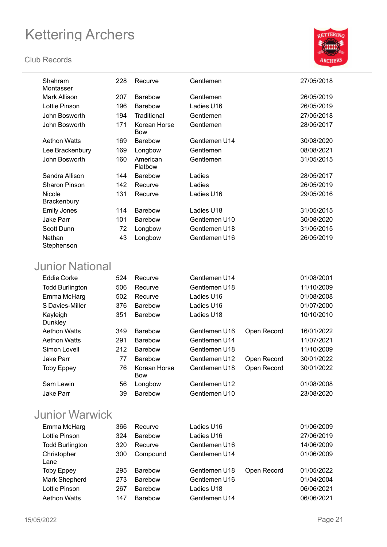#### **Club Records**



| Shahram<br>Montasser                | 228 | Recurve                    | Gentlemen     | 27/05/2018 |
|-------------------------------------|-----|----------------------------|---------------|------------|
| Mark Allison                        | 207 | <b>Barebow</b>             | Gentlemen     | 26/05/2019 |
| Lottie Pinson                       | 196 | <b>Barebow</b>             | Ladies U16    | 26/05/2019 |
| John Bosworth                       | 194 | Traditional                | Gentlemen     | 27/05/2018 |
| John Bosworth                       | 171 | Korean Horse<br><b>Bow</b> | Gentlemen     | 28/05/2017 |
| <b>Aethon Watts</b>                 | 169 | <b>Barebow</b>             | Gentlemen U14 | 30/08/2020 |
| Lee Brackenbury                     | 169 | Longbow                    | Gentlemen     | 08/08/2021 |
| John Bosworth                       | 160 | American<br>Flatbow        | Gentlemen     | 31/05/2015 |
| Sandra Allison                      | 144 | <b>Barebow</b>             | Ladies        | 28/05/2017 |
| <b>Sharon Pinson</b>                | 142 | Recurve                    | Ladies        | 26/05/2019 |
| <b>Nicole</b><br><b>Brackenbury</b> | 131 | Recurve                    | Ladies U16    | 29/05/2016 |
| <b>Emily Jones</b>                  | 114 | <b>Barebow</b>             | Ladies U18    | 31/05/2015 |
| <b>Jake Parr</b>                    | 101 | <b>Barebow</b>             | Gentlemen U10 | 30/08/2020 |
| Scott Dunn                          | 72  | Longbow                    | Gentlemen U18 | 31/05/2015 |
| Nathan<br>Stephenson                | 43  | Longbow                    | Gentlemen U16 | 26/05/2019 |

#### Junior National

| <b>Eddie Corke</b>     | 524 | Recurve                    | Gentlemen U14 |             | 01/08/2001 |
|------------------------|-----|----------------------------|---------------|-------------|------------|
| <b>Todd Burlington</b> | 506 | Recurve                    | Gentlemen U18 |             | 11/10/2009 |
| Emma McHarg            | 502 | Recurve                    | Ladies U16    |             | 01/08/2008 |
| S Davies-Miller        | 376 | <b>Barebow</b>             | Ladies U16    |             | 01/07/2000 |
| Kayleigh<br>Dunkley    | 351 | <b>Barebow</b>             | Ladies U18    |             | 10/10/2010 |
| <b>Aethon Watts</b>    | 349 | Barebow                    | Gentlemen U16 | Open Record | 16/01/2022 |
| <b>Aethon Watts</b>    | 291 | <b>Barebow</b>             | Gentlemen U14 |             | 11/07/2021 |
| Simon Lovell           | 212 | <b>Barebow</b>             | Gentlemen U18 |             | 11/10/2009 |
| Jake Parr              | 77  | <b>Barebow</b>             | Gentlemen U12 | Open Record | 30/01/2022 |
| <b>Toby Eppey</b>      | 76  | Korean Horse<br><b>Bow</b> | Gentlemen U18 | Open Record | 30/01/2022 |
| Sam Lewin              | 56  | Longbow                    | Gentlemen U12 |             | 01/08/2008 |
| Jake Parr              | 39  | <b>Barebow</b>             | Gentlemen U10 |             | 23/08/2020 |
|                        |     |                            |               |             |            |

#### Junior Warwick

| Emma McHarg            | 366 | Recurve        | Ladies U16    |             | 01/06/2009 |
|------------------------|-----|----------------|---------------|-------------|------------|
| Lottie Pinson          | 324 | <b>Barebow</b> | Ladies U16    |             | 27/06/2019 |
| <b>Todd Burlington</b> | 320 | Recurve        | Gentlemen U16 |             | 14/06/2009 |
| Christopher            | 300 | Compound       | Gentlemen U14 |             | 01/06/2009 |
| Lane                   |     |                |               |             |            |
| <b>Toby Eppey</b>      | 295 | <b>Barebow</b> | Gentlemen U18 | Open Record | 01/05/2022 |
| Mark Shepherd          | 273 | <b>Barebow</b> | Gentlemen U16 |             | 01/04/2004 |
| Lottie Pinson          | 267 | <b>Barebow</b> | Ladies U18    |             | 06/06/2021 |
| <b>Aethon Watts</b>    | 147 | <b>Barebow</b> | Gentlemen U14 |             | 06/06/2021 |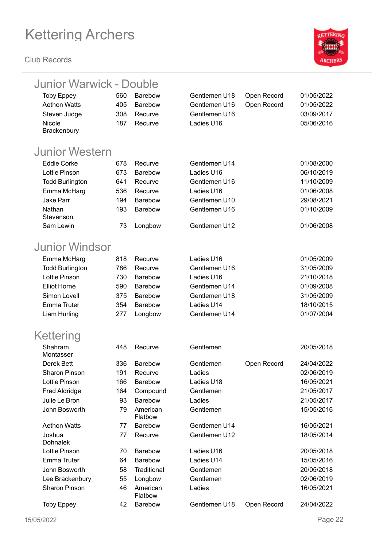

| Junior Warwick - Double |     |                     |               |             |            |
|-------------------------|-----|---------------------|---------------|-------------|------------|
| <b>Toby Eppey</b>       | 560 | Barebow             | Gentlemen U18 | Open Record | 01/05/2022 |
| <b>Aethon Watts</b>     | 405 | <b>Barebow</b>      | Gentlemen U16 | Open Record | 01/05/2022 |
| Steven Judge            | 308 | Recurve             | Gentlemen U16 |             | 03/09/2017 |
| Nicole                  | 187 | Recurve             | Ladies U16    |             | 05/06/2016 |
| Brackenbury             |     |                     |               |             |            |
| <b>Junior Western</b>   |     |                     |               |             |            |
|                         |     |                     |               |             |            |
| <b>Eddie Corke</b>      | 678 | Recurve             | Gentlemen U14 |             | 01/08/2000 |
| <b>Lottie Pinson</b>    | 673 | <b>Barebow</b>      | Ladies U16    |             | 06/10/2019 |
| <b>Todd Burlington</b>  | 641 | Recurve             | Gentlemen U16 |             | 11/10/2009 |
| Emma McHarg             | 536 | Recurve             | Ladies U16    |             | 01/06/2008 |
| <b>Jake Parr</b>        | 194 | Barebow             | Gentlemen U10 |             | 29/08/2021 |
| Nathan<br>Stevenson     | 193 | <b>Barebow</b>      | Gentlemen U16 |             | 01/10/2009 |
| Sam Lewin               | 73  | Longbow             | Gentlemen U12 |             | 01/06/2008 |
| Junior Windsor          |     |                     |               |             |            |
|                         |     |                     |               |             |            |
| Emma McHarg             | 818 | Recurve             | Ladies U16    |             | 01/05/2009 |
| <b>Todd Burlington</b>  | 786 | Recurve             | Gentlemen U16 |             | 31/05/2009 |
| <b>Lottie Pinson</b>    | 730 | <b>Barebow</b>      | Ladies U16    |             | 21/10/2018 |
| <b>Elliot Horne</b>     | 590 | Barebow             | Gentlemen U14 |             | 01/09/2008 |
| Simon Lovell            | 375 | <b>Barebow</b>      | Gentlemen U18 |             | 31/05/2009 |
| <b>Emma Truter</b>      | 354 | Barebow             | Ladies U14    |             | 18/10/2015 |
| Liam Hurling            | 277 | Longbow             | Gentlemen U14 |             | 01/07/2004 |
| Kettering               |     |                     |               |             |            |
| Shahram                 | 448 | Recurve             | Gentlemen     |             | 20/05/2018 |
| Montasser               |     |                     |               |             |            |
| Derek Bett              | 336 | <b>Barebow</b>      | Gentlemen     | Open Record | 24/04/2022 |
| <b>Sharon Pinson</b>    | 191 | Recurve             | Ladies        |             | 02/06/2019 |
| Lottie Pinson           | 166 | Barebow             | Ladies U18    |             | 16/05/2021 |
| <b>Fred Aldridge</b>    | 164 | Compound            | Gentlemen     |             | 21/05/2017 |
| Julie Le Bron           | 93  | <b>Barebow</b>      | Ladies        |             | 21/05/2017 |
| John Bosworth           | 79  | American<br>Flatbow | Gentlemen     |             | 15/05/2016 |
| <b>Aethon Watts</b>     | 77  | Barebow             | Gentlemen U14 |             | 16/05/2021 |
| Joshua                  | 77  | Recurve             | Gentlemen U12 |             | 18/05/2014 |
| <b>Dohnalek</b>         |     |                     |               |             |            |
| Lottie Pinson           | 70  | Barebow             | Ladies U16    |             | 20/05/2018 |
| Emma Truter             | 64  | Barebow             | Ladies U14    |             | 15/05/2016 |
| John Bosworth           | 58  | Traditional         | Gentlemen     |             | 20/05/2018 |
| Lee Brackenbury         | 55  | Longbow             | Gentlemen     |             | 02/06/2019 |
| <b>Sharon Pinson</b>    | 46  | American<br>Flatbow | Ladies        |             | 16/05/2021 |
| <b>Toby Eppey</b>       | 42  | Barebow             | Gentlemen U18 | Open Record | 24/04/2022 |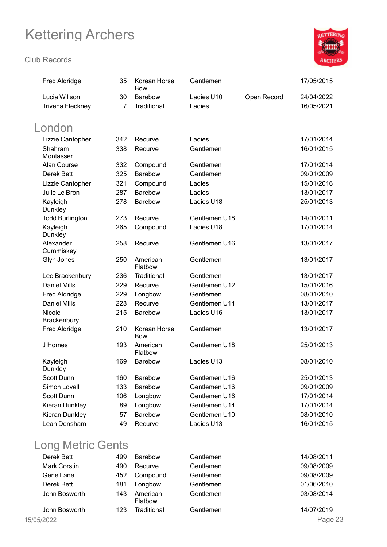**Club Records**



| 35  | Korean Horse<br><b>Bow</b> | Gentlemen     |             | 17/05/2015 |
|-----|----------------------------|---------------|-------------|------------|
| 30  | <b>Barebow</b>             | Ladies U10    | Open Record | 24/04/2022 |
| 7   | Traditional                | Ladies        |             | 16/05/2021 |
|     |                            |               |             |            |
|     |                            |               |             |            |
| 342 | Recurve                    | Ladies        |             | 17/01/2014 |
| 338 | Recurve                    | Gentlemen     |             | 16/01/2015 |
| 332 | Compound                   | Gentlemen     |             | 17/01/2014 |
| 325 | Barebow                    | Gentlemen     |             | 09/01/2009 |
| 321 | Compound                   | Ladies        |             | 15/01/2016 |
| 287 | Barebow                    | Ladies        |             | 13/01/2017 |
| 278 | Barebow                    | Ladies U18    |             | 25/01/2013 |
| 273 | Recurve                    | Gentlemen U18 |             | 14/01/2011 |
| 265 | Compound                   | Ladies U18    |             | 17/01/2014 |
| 258 | Recurve                    | Gentlemen U16 |             | 13/01/2017 |
| 250 | American<br>Flatbow        | Gentlemen     |             | 13/01/2017 |
| 236 | Traditional                | Gentlemen     |             | 13/01/2017 |
| 229 | Recurve                    | Gentlemen U12 |             | 15/01/2016 |
| 229 | Longbow                    | Gentlemen     |             | 08/01/2010 |
| 228 | Recurve                    | Gentlemen U14 |             | 13/01/2017 |
| 215 | Barebow                    | Ladies U16    |             | 13/01/2017 |
| 210 | Korean Horse<br><b>Bow</b> | Gentlemen     |             | 13/01/2017 |
| 193 | American<br>Flatbow        | Gentlemen U18 |             | 25/01/2013 |
| 169 | Barebow                    | Ladies U13    |             | 08/01/2010 |
| 160 | Barebow                    | Gentlemen U16 |             | 25/01/2013 |
| 133 | Barebow                    | Gentlemen U16 |             | 09/01/2009 |
| 106 | Longbow                    | Gentlemen U16 |             | 17/01/2014 |
| 89  | Longbow                    | Gentlemen U14 |             | 17/01/2014 |
| 57  | Barebow                    | Gentlemen U10 |             | 08/01/2010 |
| 49  | Recurve                    | Ladies U13    |             | 16/01/2015 |
|     |                            |               |             |            |

### Long Metric Gents

| Derek Bett    | 499 | <b>Barebow</b>      | Gentlemen | 14/08/2011 |
|---------------|-----|---------------------|-----------|------------|
| Mark Corstin  | 490 | Recurve             | Gentlemen | 09/08/2009 |
| Gene Lane     | 452 | Compound            | Gentlemen | 09/08/2009 |
| Derek Bett    | 181 | Longbow             | Gentlemen | 01/06/2010 |
| John Bosworth | 143 | American<br>Flatbow | Gentlemen | 03/08/2014 |
| John Bosworth | 123 | Traditional         | Gentlemen | 14/07/2019 |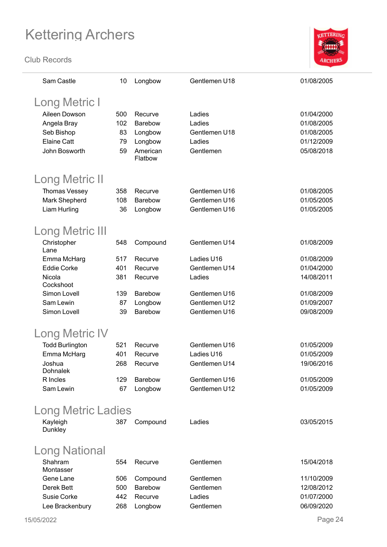

| Sam Castle                | 10  | Longbow                   | Gentlemen U18                  | 01/08/2005               |
|---------------------------|-----|---------------------------|--------------------------------|--------------------------|
| <b>Long Metric I</b>      |     |                           |                                |                          |
| Aileen Dowson             | 500 | Recurve                   | Ladies                         | 01/04/2000               |
| Angela Bray               | 102 | <b>Barebow</b>            | Ladies                         | 01/08/2005               |
| Seb Bishop                | 83  | Longbow                   | Gentlemen U18                  | 01/08/2005               |
| <b>Elaine Catt</b>        | 79  | Longbow                   | Ladies                         | 01/12/2009               |
| John Bosworth             | 59  | American<br>Flatbow       | Gentlemen                      | 05/08/2018               |
| <b>Long Metric II</b>     |     |                           |                                |                          |
| Thomas Vessey             | 358 | Recurve                   | Gentlemen U16                  | 01/08/2005               |
| Mark Shepherd             | 108 | <b>Barebow</b>            | Gentlemen U16                  | 01/05/2005               |
| Liam Hurling              | 36  | Longbow                   | Gentlemen U16                  | 01/05/2005               |
| <b>Long Metric III</b>    |     |                           |                                |                          |
| Christopher<br>Lane       | 548 | Compound                  | Gentlemen U14                  | 01/08/2009               |
| Emma McHarg               | 517 | Recurve                   | Ladies U16                     | 01/08/2009               |
| <b>Eddie Corke</b>        | 401 | Recurve                   | Gentlemen U14                  | 01/04/2000               |
| Nicola                    | 381 | Recurve                   | Ladies                         | 14/08/2011               |
| Cockshoot                 | 139 |                           |                                |                          |
| Simon Lovell<br>Sam Lewin | 87  | <b>Barebow</b><br>Longbow | Gentlemen U16<br>Gentlemen U12 | 01/08/2009<br>01/09/2007 |
| Simon Lovell              | 39  | <b>Barebow</b>            | Gentlemen U16                  | 09/08/2009               |
| Long Metric IV            |     |                           |                                |                          |
| <b>Todd Burlington</b>    | 521 | Recurve                   | Gentlemen U16                  | 01/05/2009               |
| Emma McHarg               | 401 | Recurve                   | Ladies U16                     | 01/05/2009               |
| Joshua                    | 268 | Recurve                   | Gentlemen U14                  | 19/06/2016               |
| Dohnalek                  |     |                           |                                |                          |
| R Incles                  | 129 | Barebow                   | Gentlemen U16                  | 01/05/2009               |
| Sam Lewin                 | 67  | Longbow                   | Gentlemen U12                  | 01/05/2009               |
| Long Metric Ladies        |     |                           |                                |                          |
| Kayleigh<br>Dunkley       | 387 | Compound                  | Ladies                         | 03/05/2015               |
|                           |     |                           |                                |                          |
| <b>Long National</b>      |     |                           |                                |                          |
| Shahram<br>Montasser      | 554 | Recurve                   | Gentlemen                      | 15/04/2018               |
| Gene Lane                 | 506 | Compound                  | Gentlemen                      | 11/10/2009               |
| Derek Bett                | 500 | Barebow                   | Gentlemen                      | 12/08/2012               |
| Susie Corke               | 442 | Recurve                   | Ladies                         | 01/07/2000               |
| Lee Brackenbury           | 268 | Longbow                   | Gentlemen                      | 06/09/2020               |
| 15/05/2022                |     |                           |                                | Page 24                  |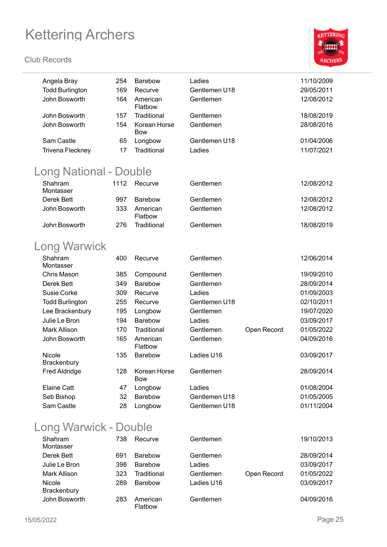#### **Club Records**



| Angela Bray<br><b>Todd Burlington</b><br>John Bosworth | 254<br>169<br>164 | <b>Barebow</b><br>Recurve<br>American<br>Flatbow | Ladies<br>Gentlemen U18<br>Gentlemen |             | 11/10/2009<br>29/05/2011<br>12/08/2012 |
|--------------------------------------------------------|-------------------|--------------------------------------------------|--------------------------------------|-------------|----------------------------------------|
| John Bosworth<br>John Bosworth                         | 157<br>154        | Traditional<br>Korean Horse<br><b>Bow</b>        | Gentlemen<br>Gentlemen               |             | 18/08/2019<br>28/08/2016               |
| Sam Castle                                             | 65                | Longbow                                          | Gentlemen U18                        |             | 01/04/2006                             |
| Trivena Fleckney                                       | 17                | Traditional                                      | Ladies                               |             | 11/07/2021                             |
| <b>Long National - Double</b>                          |                   |                                                  |                                      |             |                                        |
| Shahram                                                | 1112              | Recurve                                          | Gentlemen                            |             | 12/08/2012                             |
| Montasser                                              |                   |                                                  |                                      |             |                                        |
| Derek Bett                                             | 997               | <b>Barebow</b>                                   | Gentlemen                            |             | 12/08/2012                             |
| John Bosworth                                          | 333               | American<br>Flatbow                              | Gentlemen                            |             | 12/08/2012                             |
| John Bosworth                                          | 276               | Traditional                                      | Gentlemen                            |             | 18/08/2019                             |
| <b>Long Warwick</b>                                    |                   |                                                  |                                      |             |                                        |
| Shahram<br>Montasser                                   | 400               | Recurve                                          | Gentlemen                            |             | 12/06/2014                             |
| Chris Mason                                            | 385               | Compound                                         | Gentlemen                            |             | 19/09/2010                             |
| Derek Bett                                             | 349               | Barebow                                          | Gentlemen                            |             | 28/09/2014                             |
| <b>Susie Corke</b>                                     | 309               | Recurve                                          | Ladies                               |             | 01/09/2003                             |
| <b>Todd Burlington</b>                                 | 255               | Recurve                                          | Gentlemen U18                        |             | 02/10/2011                             |
| Lee Brackenbury                                        | 195               | Longbow                                          | Gentlemen                            |             | 19/07/2020                             |
| Julie Le Bron                                          | 194               | Barebow                                          | Ladies                               |             | 03/09/2017                             |
| <b>Mark Allison</b>                                    | 170               | Traditional                                      | Gentlemen                            | Open Record | 01/05/2022                             |
| John Bosworth                                          | 165               | American<br>Flatbow                              | Gentlemen                            |             | 04/09/2016                             |
| Nicole<br>Brackenbury                                  | 135               | Barebow                                          | Ladies U16                           |             | 03/09/2017                             |
| <b>Fred Aldridge</b>                                   | 128               | Korean Horse<br><b>Bow</b>                       | Gentlemen                            |             | 28/09/2014                             |
| Elaine Catt                                            | 47                | Longbow                                          | Ladies                               |             | 01/08/2004                             |
| Seb Bishop                                             | 32                | <b>Barebow</b>                                   | Gentlemen U18                        |             | 01/05/2005                             |
| Sam Castle                                             | 28                | Longbow                                          | Gentlemen U18                        |             | 01/11/2004                             |

### Long Warwick - Double

| Shahram<br>Montasser         | 738 | Recurve             | Gentlemen  |             | 19/10/2013 |
|------------------------------|-----|---------------------|------------|-------------|------------|
| Derek Bett                   | 691 | <b>Barebow</b>      | Gentlemen  |             | 28/09/2014 |
| Julie Le Bron                | 398 | <b>Barebow</b>      | Ladies     |             | 03/09/2017 |
| Mark Allison                 | 323 | Traditional         | Gentlemen  | Open Record | 01/05/2022 |
| <b>Nicole</b><br>Brackenbury | 289 | Barebow             | Ladies U16 |             | 03/09/2017 |
| John Bosworth                | 283 | American<br>Flatbow | Gentlemen  |             | 04/09/2016 |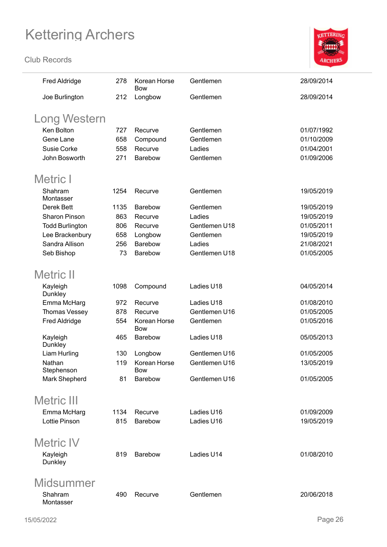

| <b>Fred Aldridge</b>   | 278  | Korean Horse<br><b>Bow</b> | Gentlemen     | 28/09/2014 |
|------------------------|------|----------------------------|---------------|------------|
| Joe Burlington         | 212  | Longbow                    | Gentlemen     | 28/09/2014 |
| <b>Long Western</b>    |      |                            |               |            |
| Ken Bolton             | 727  | Recurve                    | Gentlemen     | 01/07/1992 |
| Gene Lane              | 658  | Compound                   | Gentlemen     | 01/10/2009 |
| Susie Corke            | 558  | Recurve                    | Ladies        | 01/04/2001 |
| John Bosworth          | 271  | Barebow                    | Gentlemen     | 01/09/2006 |
|                        |      |                            |               |            |
| <b>Metric</b> I        |      |                            |               |            |
| Shahram<br>Montasser   | 1254 | Recurve                    | Gentlemen     | 19/05/2019 |
| Derek Bett             | 1135 | <b>Barebow</b>             | Gentlemen     | 19/05/2019 |
| Sharon Pinson          | 863  | Recurve                    | Ladies        | 19/05/2019 |
| <b>Todd Burlington</b> | 806  | Recurve                    | Gentlemen U18 | 01/05/2011 |
| Lee Brackenbury        | 658  | Longbow                    | Gentlemen     | 19/05/2019 |
| Sandra Allison         | 256  | Barebow                    | Ladies        | 21/08/2021 |
| Seb Bishop             | 73   | Barebow                    | Gentlemen U18 | 01/05/2005 |
|                        |      |                            |               |            |
| <b>Metric II</b>       |      |                            |               |            |
| Kayleigh<br>Dunkley    | 1098 | Compound                   | Ladies U18    | 04/05/2014 |
| Emma McHarg            | 972  | Recurve                    | Ladies U18    | 01/08/2010 |
| Thomas Vessey          | 878  | Recurve                    | Gentlemen U16 | 01/05/2005 |
| <b>Fred Aldridge</b>   | 554  | Korean Horse<br><b>Bow</b> | Gentlemen     | 01/05/2016 |
| Kayleigh<br>Dunkley    | 465  | <b>Barebow</b>             | Ladies U18    | 05/05/2013 |
| Liam Hurling           | 130  | Longbow                    | Gentlemen U16 | 01/05/2005 |
| Nathan<br>Stephenson   | 119  | Korean Horse<br><b>Bow</b> | Gentlemen U16 | 13/05/2019 |
| Mark Shepherd          | 81   | <b>Barebow</b>             | Gentlemen U16 | 01/05/2005 |
| <b>Metric III</b>      |      |                            |               |            |
| Emma McHarg            | 1134 | Recurve                    | Ladies U16    | 01/09/2009 |
| Lottie Pinson          | 815  | Barebow                    | Ladies U16    | 19/05/2019 |
|                        |      |                            |               |            |
| <b>Metric IV</b>       |      |                            |               |            |
| Kayleigh<br>Dunkley    | 819  | <b>Barebow</b>             | Ladies U14    | 01/08/2010 |
| <b>Midsummer</b>       |      |                            |               |            |
| Shahram                | 490  | Recurve                    | Gentlemen     | 20/06/2018 |
| Montasser              |      |                            |               |            |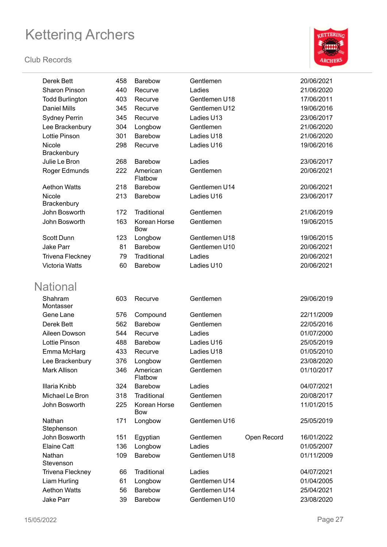

| Derek Bett              | 458 | <b>Barebow</b>             | Gentlemen     |             | 20/06/2021 |
|-------------------------|-----|----------------------------|---------------|-------------|------------|
| <b>Sharon Pinson</b>    | 440 | Recurve                    | Ladies        |             | 21/06/2020 |
| <b>Todd Burlington</b>  | 403 | Recurve                    | Gentlemen U18 |             | 17/06/2011 |
| <b>Daniel Mills</b>     | 345 | Recurve                    | Gentlemen U12 |             | 19/06/2016 |
| <b>Sydney Perrin</b>    | 345 | Recurve                    | Ladies U13    |             | 23/06/2017 |
| Lee Brackenbury         | 304 | Longbow                    | Gentlemen     |             | 21/06/2020 |
| Lottie Pinson           | 301 | Barebow                    | Ladies U18    |             | 21/06/2020 |
| Nicole<br>Brackenbury   | 298 | Recurve                    | Ladies U16    |             | 19/06/2016 |
| Julie Le Bron           | 268 | <b>Barebow</b>             | Ladies        |             | 23/06/2017 |
| Roger Edmunds           | 222 | American<br>Flatbow        | Gentlemen     |             | 20/06/2021 |
| <b>Aethon Watts</b>     | 218 | Barebow                    | Gentlemen U14 |             | 20/06/2021 |
| Nicole<br>Brackenbury   | 213 | Barebow                    | Ladies U16    |             | 23/06/2017 |
| John Bosworth           | 172 | Traditional                | Gentlemen     |             | 21/06/2019 |
| John Bosworth           | 163 | Korean Horse<br><b>Bow</b> | Gentlemen     |             | 19/06/2015 |
| Scott Dunn              | 123 | Longbow                    | Gentlemen U18 |             | 19/06/2015 |
| <b>Jake Parr</b>        | 81  | Barebow                    | Gentlemen U10 |             | 20/06/2021 |
| Trivena Fleckney        | 79  | Traditional                | Ladies        |             | 20/06/2021 |
| <b>Victoria Watts</b>   | 60  | Barebow                    | Ladies U10    |             | 20/06/2021 |
| <b>National</b>         |     |                            |               |             |            |
| Shahram<br>Montasser    | 603 | Recurve                    | Gentlemen     |             | 29/06/2019 |
| Gene Lane               | 576 | Compound                   | Gentlemen     |             | 22/11/2009 |
| Derek Bett              | 562 | Barebow                    | Gentlemen     |             | 22/05/2016 |
| Aileen Dowson           | 544 | Recurve                    | Ladies        |             | 01/07/2000 |
| <b>Lottie Pinson</b>    | 488 | Barebow                    | Ladies U16    |             | 25/05/2019 |
| Emma McHarg             | 433 | Recurve                    | Ladies U18    |             | 01/05/2010 |
| Lee Brackenbury         | 376 | Longbow                    | Gentlemen     |             | 23/08/2020 |
| Mark Allison            | 346 | American<br>Flatbow        | Gentlemen     |             | 01/10/2017 |
| Illaria Knibb           | 324 | Barebow                    | Ladies        |             | 04/07/2021 |
| Michael Le Bron         | 318 | Traditional                | Gentlemen     |             | 20/08/2017 |
| John Bosworth           | 225 | Korean Horse<br><b>Bow</b> | Gentlemen     |             | 11/01/2015 |
| Nathan<br>Stephenson    | 171 | Longbow                    | Gentlemen U16 |             | 25/05/2019 |
| John Bosworth           | 151 | Egyptian                   | Gentlemen     | Open Record | 16/01/2022 |
| <b>Elaine Catt</b>      | 136 | Longbow                    | Ladies        |             | 01/05/2007 |
| Nathan<br>Stevenson     | 109 | Barebow                    | Gentlemen U18 |             | 01/11/2009 |
| <b>Trivena Fleckney</b> | 66  | Traditional                | Ladies        |             | 04/07/2021 |
| Liam Hurling            | 61  | Longbow                    | Gentlemen U14 |             | 01/04/2005 |
| <b>Aethon Watts</b>     | 56  | Barebow                    | Gentlemen U14 |             | 25/04/2021 |
| Jake Parr               | 39  | Barebow                    | Gentlemen U10 |             | 23/08/2020 |
|                         |     |                            |               |             |            |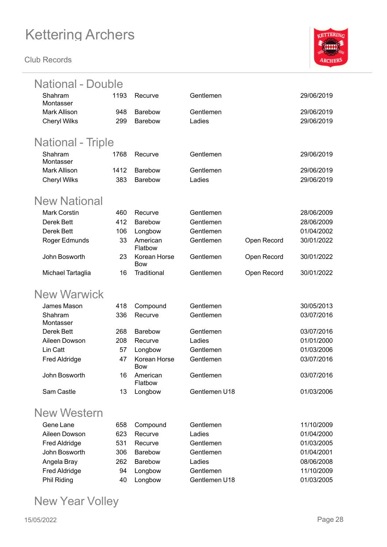**Club Records**



| National - Double    |      |                            |               |             |            |
|----------------------|------|----------------------------|---------------|-------------|------------|
| Shahram<br>Montasser | 1193 | Recurve                    | Gentlemen     |             | 29/06/2019 |
| <b>Mark Allison</b>  | 948  | <b>Barebow</b>             | Gentlemen     |             | 29/06/2019 |
| <b>Cheryl Wilks</b>  | 299  | Barebow                    | Ladies        |             | 29/06/2019 |
| National - Triple    |      |                            |               |             |            |
| Shahram              | 1768 | Recurve                    | Gentlemen     |             | 29/06/2019 |
| Montasser            |      |                            |               |             |            |
| Mark Allison         | 1412 | <b>Barebow</b>             | Gentlemen     |             | 29/06/2019 |
| <b>Cheryl Wilks</b>  | 383  | <b>Barebow</b>             | Ladies        |             | 29/06/2019 |
| <b>New National</b>  |      |                            |               |             |            |
| <b>Mark Corstin</b>  | 460  | Recurve                    | Gentlemen     |             | 28/06/2009 |
| Derek Bett           | 412  | <b>Barebow</b>             | Gentlemen     |             | 28/06/2009 |
| Derek Bett           | 106  | Longbow                    | Gentlemen     |             | 01/04/2002 |
| Roger Edmunds        | 33   | American<br>Flatbow        | Gentlemen     | Open Record | 30/01/2022 |
| John Bosworth        | 23   | Korean Horse<br><b>Bow</b> | Gentlemen     | Open Record | 30/01/2022 |
| Michael Tartaglia    | 16   | Traditional                | Gentlemen     | Open Record | 30/01/2022 |
| <b>New Warwick</b>   |      |                            |               |             |            |
| James Mason          | 418  | Compound                   | Gentlemen     |             | 30/05/2013 |
| Shahram<br>Montasser | 336  | Recurve                    | Gentlemen     |             | 03/07/2016 |
| Derek Bett           | 268  | <b>Barebow</b>             | Gentlemen     |             | 03/07/2016 |
| Aileen Dowson        | 208  | Recurve                    | Ladies        |             | 01/01/2000 |
| Lin Catt             | 57   | Longbow                    | Gentlemen     |             | 01/03/2006 |
| <b>Fred Aldridge</b> | 47   | Korean Horse<br>Bow        | Gentlemen     |             | 03/07/2016 |
| John Bosworth        | 16   | American<br>Flatbow        | Gentlemen     |             | 03/07/2016 |
| Sam Castle           | 13   | Longbow                    | Gentlemen U18 |             | 01/03/2006 |
| <b>New Western</b>   |      |                            |               |             |            |
| Gene Lane            | 658  | Compound                   | Gentlemen     |             | 11/10/2009 |
| Aileen Dowson        | 623  | Recurve                    | Ladies        |             | 01/04/2000 |
| Fred Aldridge        | 531  | Recurve                    | Gentlemen     |             | 01/03/2005 |
| John Bosworth        | 306  | <b>Barebow</b>             | Gentlemen     |             | 01/04/2001 |
| Angela Bray          | 262  | Barebow                    | Ladies        |             | 08/06/2008 |

Fred Aldridge 94 Longbow Gentlemen 11/10/2009 Phil Riding **40 Longbow** Gentlemen U18 01/03/2005

#### New Year Volley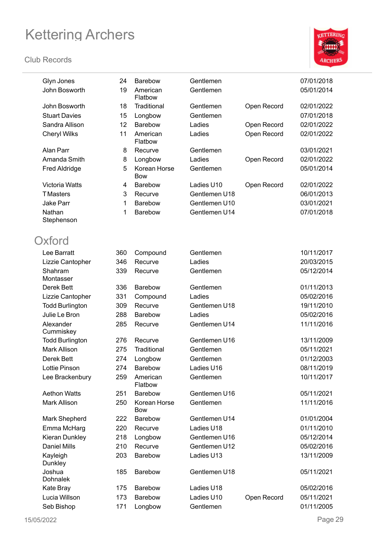

| Glyn Jones                | 24  | <b>Barebow</b>             | Gentlemen     |             | 07/01/2018 |
|---------------------------|-----|----------------------------|---------------|-------------|------------|
| John Bosworth             | 19  | American<br>Flatbow        | Gentlemen     |             | 05/01/2014 |
| John Bosworth             | 18  | Traditional                | Gentlemen     | Open Record | 02/01/2022 |
| <b>Stuart Davies</b>      | 15  | Longbow                    | Gentlemen     |             | 07/01/2018 |
| Sandra Allison            | 12  | Barebow                    | Ladies        | Open Record | 02/01/2022 |
| <b>Cheryl Wilks</b>       | 11  | American<br>Flatbow        | Ladies        | Open Record | 02/01/2022 |
| Alan Parr                 | 8   | Recurve                    | Gentlemen     |             | 03/01/2021 |
| Amanda Smith              | 8   | Longbow                    | Ladies        | Open Record | 02/01/2022 |
| Fred Aldridge             | 5   | Korean Horse<br><b>Bow</b> | Gentlemen     |             | 05/01/2014 |
| <b>Victoria Watts</b>     | 4   | Barebow                    | Ladies U10    | Open Record | 02/01/2022 |
| <b>TMasters</b>           | 3   | Recurve                    | Gentlemen U18 |             | 06/01/2013 |
| <b>Jake Parr</b>          | 1   | <b>Barebow</b>             | Gentlemen U10 |             | 03/01/2021 |
| Nathan<br>Stephenson      | 1   | Barebow                    | Gentlemen U14 |             | 07/01/2018 |
| Oxford                    |     |                            |               |             |            |
| Lee Barratt               | 360 | Compound                   | Gentlemen     |             | 10/11/2017 |
| Lizzie Cantopher          | 346 | Recurve                    | Ladies        |             | 20/03/2015 |
| Shahram<br>Montasser      | 339 | Recurve                    | Gentlemen     |             | 05/12/2014 |
| Derek Bett                | 336 | Barebow                    | Gentlemen     |             | 01/11/2013 |
| Lizzie Cantopher          | 331 | Compound                   | Ladies        |             | 05/02/2016 |
| <b>Todd Burlington</b>    | 309 | Recurve                    | Gentlemen U18 |             | 19/11/2010 |
| Julie Le Bron             | 288 | Barebow                    | Ladies        |             | 05/02/2016 |
| Alexander                 | 285 | Recurve                    | Gentlemen U14 |             | 11/11/2016 |
| Cummiskey                 |     |                            |               |             |            |
| <b>Todd Burlington</b>    | 276 | Recurve                    | Gentlemen U16 |             | 13/11/2009 |
| <b>Mark Allison</b>       | 275 | Traditional                | Gentlemen     |             | 05/11/2021 |
| Derek Bett                | 274 | Longbow                    | Gentlemen     |             | 01/12/2003 |
| Lottie Pinson             | 274 | Barebow                    | Ladies U16    |             | 08/11/2019 |
| Lee Brackenbury           | 259 | American<br>Flatbow        | Gentlemen     |             | 10/11/2017 |
| <b>Aethon Watts</b>       | 251 | Barebow                    | Gentlemen U16 |             | 05/11/2021 |
| <b>Mark Allison</b>       | 250 | Korean Horse<br><b>Bow</b> | Gentlemen     |             | 11/11/2016 |
| Mark Shepherd             | 222 | Barebow                    | Gentlemen U14 |             | 01/01/2004 |
| Emma McHarg               | 220 | Recurve                    | Ladies U18    |             | 01/11/2010 |
| Kieran Dunkley            | 218 | Longbow                    | Gentlemen U16 |             | 05/12/2014 |
| <b>Daniel Mills</b>       | 210 | Recurve                    | Gentlemen U12 |             | 05/02/2016 |
| Kayleigh<br>Dunkley       | 203 | Barebow                    | Ladies U13    |             | 13/11/2009 |
| Joshua<br><b>Dohnalek</b> | 185 | Barebow                    | Gentlemen U18 |             | 05/11/2021 |
| Kate Bray                 | 175 | Barebow                    | Ladies U18    |             | 05/02/2016 |
| Lucia Willson             | 173 | Barebow                    | Ladies U10    | Open Record | 05/11/2021 |
| Seb Bishop                | 171 | Longbow                    | Gentlemen     |             | 01/11/2005 |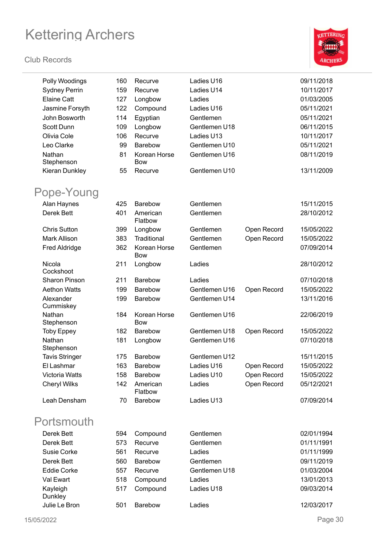#### **Club Records**

 $\overline{\phantom{a}}$ 



| Polly Woodings         | 160 | Recurve                    | Ladies U16    |             | 09/11/2018 |
|------------------------|-----|----------------------------|---------------|-------------|------------|
| <b>Sydney Perrin</b>   | 159 | Recurve                    | Ladies U14    |             | 10/11/2017 |
| <b>Elaine Catt</b>     | 127 | Longbow                    | Ladies        |             | 01/03/2005 |
| Jasmine Forsyth        | 122 | Compound                   | Ladies U16    |             | 05/11/2021 |
| John Bosworth          | 114 | Egyptian                   | Gentlemen     |             | 05/11/2021 |
| Scott Dunn             | 109 | Longbow                    | Gentlemen U18 |             | 06/11/2015 |
| Olivia Cole            | 106 | Recurve                    | Ladies U13    |             | 10/11/2017 |
| Leo Clarke             | 99  | <b>Barebow</b>             | Gentlemen U10 |             | 05/11/2021 |
| Nathan<br>Stephenson   | 81  | Korean Horse<br>Bow        | Gentlemen U16 |             | 08/11/2019 |
| Kieran Dunkley         | 55  | Recurve                    | Gentlemen U10 |             | 13/11/2009 |
| Pope-Young             |     |                            |               |             |            |
| Alan Haynes            | 425 | <b>Barebow</b>             | Gentlemen     |             | 15/11/2015 |
| Derek Bett             | 401 | American<br>Flatbow        | Gentlemen     |             | 28/10/2012 |
| <b>Chris Sutton</b>    | 399 | Longbow                    | Gentlemen     | Open Record | 15/05/2022 |
| <b>Mark Allison</b>    | 383 | Traditional                | Gentlemen     | Open Record | 15/05/2022 |
| <b>Fred Aldridge</b>   | 362 | Korean Horse<br><b>Bow</b> | Gentlemen     |             | 07/09/2014 |
| Nicola<br>Cockshoot    | 211 | Longbow                    | Ladies        |             | 28/10/2012 |
| <b>Sharon Pinson</b>   | 211 | Barebow                    | Ladies        |             | 07/10/2018 |
| <b>Aethon Watts</b>    | 199 | Barebow                    | Gentlemen U16 | Open Record | 15/05/2022 |
| Alexander<br>Cummiskey | 199 | Barebow                    | Gentlemen U14 |             | 13/11/2016 |
| Nathan<br>Stephenson   | 184 | Korean Horse<br><b>Bow</b> | Gentlemen U16 |             | 22/06/2019 |
| <b>Toby Eppey</b>      | 182 | <b>Barebow</b>             | Gentlemen U18 | Open Record | 15/05/2022 |
| Nathan<br>Stephenson   | 181 | Longbow                    | Gentlemen U16 |             | 07/10/2018 |
| <b>Tavis Stringer</b>  | 175 | <b>Barebow</b>             | Gentlemen U12 |             | 15/11/2015 |
| El Lashmar             | 163 | Barebow                    | Ladies U16    | Open Record | 15/05/2022 |
| Victoria Watts         | 158 | Barebow                    | Ladies U10    | Open Record | 15/05/2022 |
| <b>Cheryl Wilks</b>    | 142 | American<br>Flatbow        | Ladies        | Open Record | 05/12/2021 |
| Leah Densham           | 70  | Barebow                    | Ladies U13    |             | 07/09/2014 |
| Portsmouth             |     |                            |               |             |            |
| <b>Derek Bett</b>      | 594 | Compound                   | Gentlemen     |             | 02/01/1994 |
| Derek Bett             | 573 | Recurve                    | Gentlemen     |             | 01/11/1991 |
| Susie Corke            | 561 | Recurve                    | Ladies        |             | 01/11/1999 |
| Derek Bett             | 560 | <b>Barebow</b>             | Gentlemen     |             | 09/11/2019 |
| <b>Eddie Corke</b>     | 557 | Recurve                    | Gentlemen U18 |             | 01/03/2004 |
| Val Ewart              | 518 | Compound                   | Ladies        |             | 13/01/2013 |
| Kayleigh<br>Dunkley    | 517 | Compound                   | Ladies U18    |             | 09/03/2014 |
| Julie Le Bron          | 501 | Barebow                    | Ladies        |             | 12/03/2017 |
| 15/05/2022             |     |                            |               |             | Page 30    |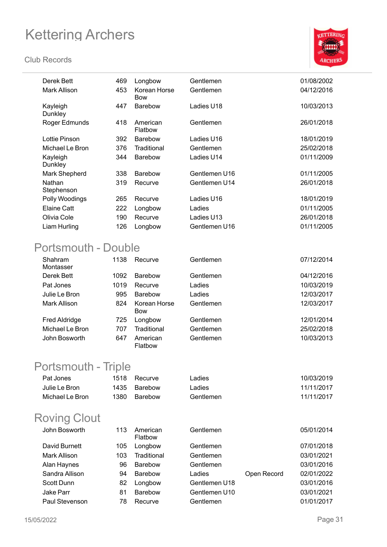#### **Club Records**



| Derek Bett           | 469 | Longbow                    | Gentlemen     | 01/08/2002 |
|----------------------|-----|----------------------------|---------------|------------|
| Mark Allison         | 453 | Korean Horse<br><b>Bow</b> | Gentlemen     | 04/12/2016 |
| Kayleigh<br>Dunkley  | 447 | <b>Barebow</b>             | Ladies U18    | 10/03/2013 |
| Roger Edmunds        | 418 | American<br>Flatbow        | Gentlemen     | 26/01/2018 |
| Lottie Pinson        | 392 | <b>Barebow</b>             | Ladies U16    | 18/01/2019 |
| Michael Le Bron      | 376 | Traditional                | Gentlemen     | 25/02/2018 |
| Kayleigh<br>Dunkley  | 344 | <b>Barebow</b>             | Ladies U14    | 01/11/2009 |
| Mark Shepherd        | 338 | <b>Barebow</b>             | Gentlemen U16 | 01/11/2005 |
| Nathan<br>Stephenson | 319 | Recurve                    | Gentlemen U14 | 26/01/2018 |
| Polly Woodings       | 265 | Recurve                    | Ladies U16    | 18/01/2019 |
| Elaine Catt          | 222 | Longbow                    | Ladies        | 01/11/2005 |
| Olivia Cole          | 190 | Recurve                    | Ladies U13    | 26/01/2018 |
| Liam Hurling         | 126 | Longbow                    | Gentlemen U16 | 01/11/2005 |
|                      |     |                            |               |            |

### Portsmouth - Double

| Shahram<br>Montasser | 1138 | Recurve                    | Gentlemen | 07/12/2014 |
|----------------------|------|----------------------------|-----------|------------|
| Derek Bett           | 1092 | <b>Barebow</b>             | Gentlemen | 04/12/2016 |
| Pat Jones            | 1019 | Recurve                    | Ladies    | 10/03/2019 |
| Julie Le Bron        | 995  | Barebow                    | Ladies    | 12/03/2017 |
| Mark Allison         | 824  | Korean Horse<br><b>Bow</b> | Gentlemen | 12/03/2017 |
| <b>Fred Aldridge</b> | 725  | Longbow                    | Gentlemen | 12/01/2014 |
| Michael Le Bron      | 707  | Traditional                | Gentlemen | 25/02/2018 |
| John Bosworth        | 647  | American<br>Flatbow        | Gentlemen | 10/03/2013 |

#### Portsmouth - Triple

| Pat Jones       | 1518 Recurve | ∟adies    | 10/03/2019 |
|-----------------|--------------|-----------|------------|
| Julie Le Bron   | 1435 Barebow | Ladies    | 11/11/2017 |
| Michael Le Bron | 1380 Barebow | Gentlemen | 11/11/2017 |

| <b>Roving Clout</b> |     |                     |               |             |            |
|---------------------|-----|---------------------|---------------|-------------|------------|
| John Bosworth       | 113 | American<br>Flatbow | Gentlemen     |             | 05/01/2014 |
| David Burnett       | 105 | Longbow             | Gentlemen     |             | 07/01/2018 |
| Mark Allison        | 103 | Traditional         | Gentlemen     |             | 03/01/2021 |
| Alan Haynes         | 96  | Barebow             | Gentlemen     |             | 03/01/2016 |
| Sandra Allison      | 94  | Barebow             | Ladies        | Open Record | 02/01/2022 |
| Scott Dunn          | 82  | Longbow             | Gentlemen U18 |             | 03/01/2016 |
| Jake Parr           | 81  | Barebow             | Gentlemen U10 |             | 03/01/2021 |
| Paul Stevenson      | 78  | Recurve             | Gentlemen     |             | 01/01/2017 |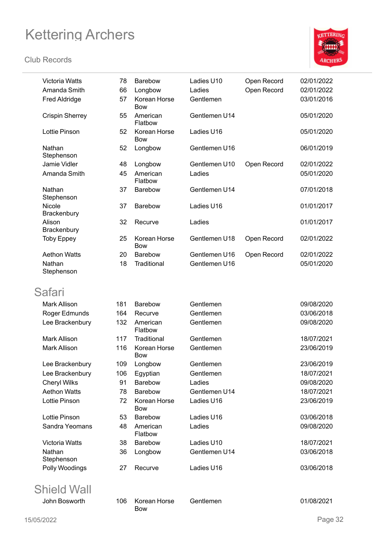#### **Club Records**



| Victoria Watts                | 78       | <b>Barebow</b>                        | Ladies U10          | Open Record | 02/01/2022               |
|-------------------------------|----------|---------------------------------------|---------------------|-------------|--------------------------|
| Amanda Smith<br>Fred Aldridge | 66<br>57 | Longbow<br>Korean Horse<br><b>Bow</b> | Ladies<br>Gentlemen | Open Record | 02/01/2022<br>03/01/2016 |
| <b>Crispin Sherrey</b>        | 55       | American<br>Flatbow                   | Gentlemen U14       |             | 05/01/2020               |
| Lottie Pinson                 | 52       | Korean Horse<br><b>Bow</b>            | Ladies U16          |             | 05/01/2020               |
| Nathan<br>Stephenson          | 52       | Longbow                               | Gentlemen U16       |             | 06/01/2019               |
| Jamie Vidler                  | 48       | Longbow                               | Gentlemen U10       | Open Record | 02/01/2022               |
| Amanda Smith                  | 45       | American<br>Flatbow                   | Ladies              |             | 05/01/2020               |
| Nathan<br>Stephenson          | 37       | Barebow                               | Gentlemen U14       |             | 07/01/2018               |
| Nicole<br>Brackenbury         | 37       | Barebow                               | Ladies U16          |             | 01/01/2017               |
| Alison<br>Brackenbury         | 32       | Recurve                               | Ladies              |             | 01/01/2017               |
| <b>Toby Eppey</b>             | 25       | Korean Horse<br><b>Bow</b>            | Gentlemen U18       | Open Record | 02/01/2022               |
| <b>Aethon Watts</b>           | 20       | Barebow                               | Gentlemen U16       | Open Record | 02/01/2022               |
| Nathan<br>Stephenson          | 18       | Traditional                           | Gentlemen U16       |             | 05/01/2020               |
| Safari                        |          |                                       |                     |             |                          |
| <b>Mark Allison</b>           | 181      | <b>Barebow</b>                        | Gentlemen           |             | 09/08/2020               |
| Roger Edmunds                 | 164      | Recurve                               | Gentlemen           |             | 03/06/2018               |
| Lee Brackenbury               | 132      | American<br>Flatbow                   | Gentlemen           |             | 09/08/2020               |
| <b>Mark Allison</b>           | 117      | Traditional                           | Gentlemen           |             | 18/07/2021               |
| <b>Mark Allison</b>           | 116      | Korean Horse<br><b>Bow</b>            | Gentlemen           |             | 23/06/2019               |
| Lee Brackenbury               | 109      | Longbow                               | Gentlemen           |             | 23/06/2019               |
| Lee Brackenbury               | 106      | Egyptian                              | Gentlemen           |             | 18/07/2021               |
| <b>Cheryl Wilks</b>           | 91       | Barebow                               | Ladies              |             | 09/08/2020               |
| <b>Aethon Watts</b>           | 78       | <b>Barebow</b>                        | Gentlemen U14       |             | 18/07/2021               |
| <b>Lottie Pinson</b>          | 72       | Korean Horse<br><b>Bow</b>            | Ladies U16          |             | 23/06/2019               |
| Lottie Pinson                 | 53       | <b>Barebow</b>                        | Ladies U16          |             | 03/06/2018               |
| Sandra Yeomans                | 48       | American<br>Flatbow                   | Ladies              |             | 09/08/2020               |
| Victoria Watts                | 38       | Barebow                               | Ladies U10          |             | 18/07/2021               |
| Nathan<br>Stephenson          | 36       | Longbow                               | Gentlemen U14       |             | 03/06/2018               |
| Polly Woodings                | 27       | Recurve                               | Ladies U16          |             | 03/06/2018               |

#### Shield Wall

Gentlemen 01/08/2021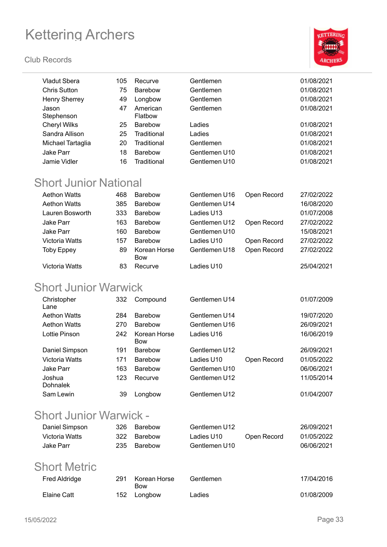#### **Club Records**



| Vladut Sbera         | 105 | Recurve             | Gentlemen     | 01/08/2021 |
|----------------------|-----|---------------------|---------------|------------|
| <b>Chris Sutton</b>  | 75  | Barebow             | Gentlemen     | 01/08/2021 |
| <b>Henry Sherrey</b> | 49  | Longbow             | Gentlemen     | 01/08/2021 |
| Jason<br>Stephenson  | 47  | American<br>Flatbow | Gentlemen     | 01/08/2021 |
| <b>Cheryl Wilks</b>  | 25  | Barebow             | Ladies        | 01/08/2021 |
| Sandra Allison       | 25  | Traditional         | Ladies        | 01/08/2021 |
| Michael Tartaglia    | 20  | Traditional         | Gentlemen     | 01/08/2021 |
| Jake Parr            | 18  | <b>Barebow</b>      | Gentlemen U10 | 01/08/2021 |
| Jamie Vidler         | 16  | Traditional         | Gentlemen U10 | 01/08/2021 |

#### Short Junior National

| <b>Aethon Watts</b> | 468 | <b>Barebow</b>             | Gentlemen U16 | Open Record | 27/02/2022 |
|---------------------|-----|----------------------------|---------------|-------------|------------|
| <b>Aethon Watts</b> | 385 | <b>Barebow</b>             | Gentlemen U14 |             | 16/08/2020 |
| Lauren Bosworth     | 333 | <b>Barebow</b>             | Ladies U13    |             | 01/07/2008 |
| Jake Parr           | 163 | <b>Barebow</b>             | Gentlemen U12 | Open Record | 27/02/2022 |
| Jake Parr           | 160 | <b>Barebow</b>             | Gentlemen U10 |             | 15/08/2021 |
| Victoria Watts      | 157 | <b>Barebow</b>             | Ladies U10    | Open Record | 27/02/2022 |
| <b>Toby Eppey</b>   | 89  | Korean Horse<br><b>Bow</b> | Gentlemen U18 | Open Record | 27/02/2022 |
| Victoria Watts      | 83  | Recurve                    | Ladies U10    |             | 25/04/2021 |

#### Short Junior Warwick

| Christopher<br>Lane       | 332 | Compound            | Gentlemen U14 |             | 01/07/2009 |
|---------------------------|-----|---------------------|---------------|-------------|------------|
| <b>Aethon Watts</b>       | 284 | Barebow             | Gentlemen U14 |             | 19/07/2020 |
| <b>Aethon Watts</b>       | 270 | Barebow             | Gentlemen U16 |             | 26/09/2021 |
| Lottie Pinson             | 242 | Korean Horse<br>Bow | Ladies U16    |             | 16/06/2019 |
| Daniel Simpson            | 191 | <b>Barebow</b>      | Gentlemen U12 |             | 26/09/2021 |
| Victoria Watts            | 171 | <b>Barebow</b>      | Ladies U10    | Open Record | 01/05/2022 |
| Jake Parr                 | 163 | Barebow             | Gentlemen U10 |             | 06/06/2021 |
| Joshua<br><b>Dohnalek</b> | 123 | Recurve             | Gentlemen U12 |             | 11/05/2014 |
| Sam Lewin                 | 39  | Longbow             | Gentlemen U12 |             | 01/04/2007 |

#### Short Junior Warwick -

| Daniel Simpson | 326 | Barebow     | Gentlemen U12 |             | 26/09/2021 |
|----------------|-----|-------------|---------------|-------------|------------|
| Victoria Watts | 322 | Barebow     | Ladies U10    | Open Record | 01/05/2022 |
| Jake Parr      |     | 235 Barebow | Gentlemen U10 |             | 06/06/2021 |
|                |     |             |               |             |            |

#### Short Metric

| Fred Aldridge | 291 | Korean Horse<br>Bow | Gentlemen | 17/04/2016 |
|---------------|-----|---------------------|-----------|------------|
| Elaine Catt   |     | 152 Longbow         | Ladies    | 01/08/2009 |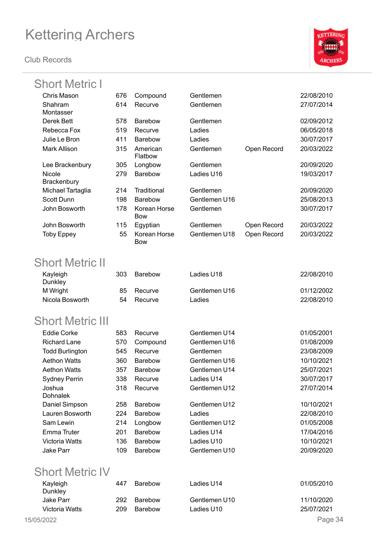**Club Records**

#### Short Metric I



| ƏNOLL MELHET              |     |                            |               |             |            |
|---------------------------|-----|----------------------------|---------------|-------------|------------|
| <b>Chris Mason</b>        | 676 | Compound                   | Gentlemen     |             | 22/08/2010 |
| Shahram                   | 614 | Recurve                    | Gentlemen     |             | 27/07/2014 |
| Montasser                 |     |                            |               |             |            |
| Derek Bett                | 578 | <b>Barebow</b>             | Gentlemen     |             | 02/09/2012 |
| Rebecca Fox               | 519 | Recurve                    | Ladies        |             | 06/05/2018 |
| Julie Le Bron             | 411 | Barebow                    | Ladies        |             | 30/07/2017 |
| <b>Mark Allison</b>       | 315 | American<br>Flatbow        | Gentlemen     | Open Record | 20/03/2022 |
| Lee Brackenbury           | 305 | Longbow                    | Gentlemen     |             | 20/09/2020 |
| Nicole<br>Brackenbury     | 279 | Barebow                    | Ladies U16    |             | 19/03/2017 |
| Michael Tartaglia         | 214 | Traditional                | Gentlemen     |             | 20/09/2020 |
| Scott Dunn                | 198 | Barebow                    | Gentlemen U16 |             | 25/08/2013 |
| John Bosworth             | 178 | Korean Horse<br><b>Bow</b> | Gentlemen     |             | 30/07/2017 |
| John Bosworth             | 115 | Egyptian                   | Gentlemen     | Open Record | 20/03/2022 |
| <b>Toby Eppey</b>         | 55  | Korean Horse<br><b>Bow</b> | Gentlemen U18 | Open Record | 20/03/2022 |
| <b>Short Metric II</b>    |     |                            |               |             |            |
| Kayleigh<br>Dunkley       | 303 | <b>Barebow</b>             | Ladies U18    |             | 22/08/2010 |
| M Wright                  | 85  | Recurve                    | Gentlemen U16 |             | 01/12/2002 |
| Nicola Bosworth           | 54  | Recurve                    | Ladies        |             | 22/08/2010 |
| <b>Short Metric III</b>   |     |                            |               |             |            |
| <b>Eddie Corke</b>        | 583 | Recurve                    | Gentlemen U14 |             | 01/05/2001 |
| <b>Richard Lane</b>       | 570 | Compound                   | Gentlemen U16 |             | 01/08/2009 |
| <b>Todd Burlington</b>    | 545 | Recurve                    | Gentlemen     |             | 23/08/2009 |
| <b>Aethon Watts</b>       | 360 | <b>Barebow</b>             | Gentlemen U16 |             | 10/10/2021 |
| <b>Aethon Watts</b>       | 357 | <b>Barebow</b>             | Gentlemen U14 |             | 25/07/2021 |
| <b>Sydney Perrin</b>      | 338 | Recurve                    | Ladies U14    |             | 30/07/2017 |
| Joshua<br><b>Dohnalek</b> | 318 | Recurve                    | Gentlemen U12 |             | 27/07/2014 |
| Daniel Simpson            | 258 | <b>Barebow</b>             | Gentlemen U12 |             | 10/10/2021 |
| Lauren Bosworth           | 224 | <b>Barebow</b>             | Ladies        |             | 22/08/2010 |
| Sam Lewin                 | 214 | Longbow                    | Gentlemen U12 |             | 01/05/2008 |
| <b>Emma Truter</b>        | 201 | Barebow                    | Ladies U14    |             | 17/04/2016 |
| Victoria Watts            | 136 | Barebow                    | Ladies U10    |             | 10/10/2021 |
| <b>Jake Parr</b>          | 109 | Barebow                    | Gentlemen U10 |             | 20/09/2020 |
| <b>Short Metric IV</b>    |     |                            |               |             |            |
| Kayleigh                  | 447 | <b>Barebow</b>             | Ladies U14    |             | 01/05/2010 |
| Dunkley                   |     |                            |               |             |            |
| <b>Jake Parr</b>          | 292 | Barebow                    | Gentlemen U10 |             | 11/10/2020 |
| Victoria Watts            | 209 | Barebow                    | Ladies U10    |             | 25/07/2021 |
| 15/05/2022                |     |                            |               |             | Page 34    |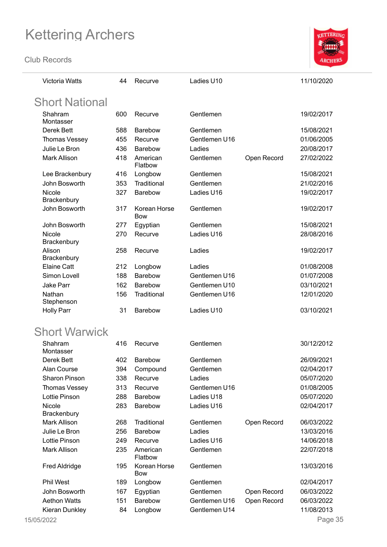**Club Records**



| <b>Victoria Watts</b> | 44  | Recurve                    | Ladies U10    |             | 11/10/2020 |
|-----------------------|-----|----------------------------|---------------|-------------|------------|
| <b>Short National</b> |     |                            |               |             |            |
| Shahram<br>Montasser  | 600 | Recurve                    | Gentlemen     |             | 19/02/2017 |
| Derek Bett            | 588 | <b>Barebow</b>             | Gentlemen     |             | 15/08/2021 |
| Thomas Vessey         | 455 | Recurve                    | Gentlemen U16 |             | 01/06/2005 |
| Julie Le Bron         | 436 | Barebow                    | Ladies        |             | 20/08/2017 |
| <b>Mark Allison</b>   | 418 | American<br>Flatbow        | Gentlemen     | Open Record | 27/02/2022 |
| Lee Brackenbury       | 416 | Longbow                    | Gentlemen     |             | 15/08/2021 |
| John Bosworth         | 353 | Traditional                | Gentlemen     |             | 21/02/2016 |
| Nicole<br>Brackenbury | 327 | Barebow                    | Ladies U16    |             | 19/02/2017 |
| John Bosworth         | 317 | Korean Horse<br><b>Bow</b> | Gentlemen     |             | 19/02/2017 |
| John Bosworth         | 277 | Egyptian                   | Gentlemen     |             | 15/08/2021 |
| Nicole<br>Brackenbury | 270 | Recurve                    | Ladies U16    |             | 28/08/2016 |
| Alison<br>Brackenbury | 258 | Recurve                    | Ladies        |             | 19/02/2017 |
| <b>Elaine Catt</b>    | 212 | Longbow                    | Ladies        |             | 01/08/2008 |
| Simon Lovell          | 188 | <b>Barebow</b>             | Gentlemen U16 |             | 01/07/2008 |
| <b>Jake Parr</b>      | 162 | Barebow                    | Gentlemen U10 |             | 03/10/2021 |
| Nathan<br>Stephenson  | 156 | Traditional                | Gentlemen U16 |             | 12/01/2020 |
| <b>Holly Parr</b>     | 31  | Barebow                    | Ladies U10    |             | 03/10/2021 |
| <b>Short Warwick</b>  |     |                            |               |             |            |
| Shahram<br>Montasser  | 416 | Recurve                    | Gentlemen     |             | 30/12/2012 |
| Derek Bett            | 402 | Barebow                    | Gentlemen     |             | 26/09/2021 |
| Alan Course           | 394 | Compound                   | Gentlemen     |             | 02/04/2017 |
| Sharon Pinson         | 338 | Recurve                    | Ladies        |             | 05/07/2020 |
| Thomas Vessey         | 313 | Recurve                    | Gentlemen U16 |             | 01/08/2005 |
| Lottie Pinson         | 288 | Barebow                    | Ladies U18    |             | 05/07/2020 |
| Nicole                | 283 | Barebow                    | Ladies U16    |             | 02/04/2017 |
| Brackenbury           |     |                            |               |             |            |
| <b>Mark Allison</b>   | 268 | Traditional                | Gentlemen     | Open Record | 06/03/2022 |
| Julie Le Bron         | 256 | Barebow                    | Ladies        |             | 13/03/2016 |
| Lottie Pinson         | 249 | Recurve                    | Ladies U16    |             | 14/06/2018 |
| Mark Allison          | 235 | American<br>Flatbow        | Gentlemen     |             | 22/07/2018 |

Fred Aldridge 195 Korean Horse

Phil West 189 Longbow Gentlemen 120 2/04/2017 John Bosworth 167 Egyptian Gentlemen Open Record 06/03/2022 Aethon Watts **151 Barebow** Gentlemen U16 Open Record 06/03/2022 Kieran Dunkley 84 Longbow Gentlemen U14 11/08/2013

Bow

Gentlemen 13/03/2016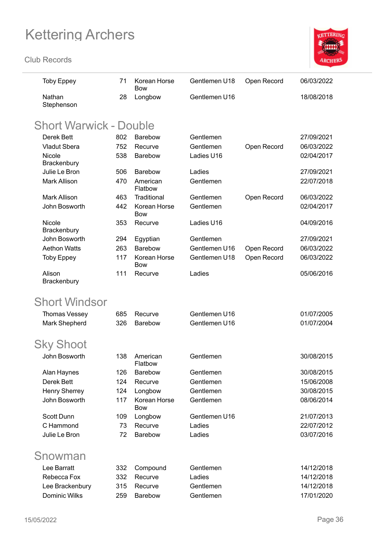

| <b>Toby Eppey</b>             | 71  | Korean Horse<br>Bow        | Gentlemen U18 | Open Record | 06/03/2022 |
|-------------------------------|-----|----------------------------|---------------|-------------|------------|
| Nathan<br>Stephenson          | 28  | Longbow                    | Gentlemen U16 |             | 18/08/2018 |
|                               |     |                            |               |             |            |
| <b>Short Warwick - Double</b> |     |                            |               |             |            |
| <b>Derek Bett</b>             | 802 | <b>Barebow</b>             | Gentlemen     |             | 27/09/2021 |
| <b>Vladut Sbera</b>           | 752 | Recurve                    | Gentlemen     | Open Record | 06/03/2022 |
| <b>Nicole</b><br>Brackenbury  | 538 | Barebow                    | Ladies U16    |             | 02/04/2017 |
| Julie Le Bron                 | 506 | <b>Barebow</b>             | Ladies        |             | 27/09/2021 |
| <b>Mark Allison</b>           | 470 | American<br>Flatbow        | Gentlemen     |             | 22/07/2018 |
| <b>Mark Allison</b>           | 463 | Traditional                | Gentlemen     | Open Record | 06/03/2022 |
| John Bosworth                 | 442 | Korean Horse<br><b>Bow</b> | Gentlemen     |             | 02/04/2017 |
| Nicole<br>Brackenbury         | 353 | Recurve                    | Ladies U16    |             | 04/09/2016 |
| John Bosworth                 | 294 | Egyptian                   | Gentlemen     |             | 27/09/2021 |
| <b>Aethon Watts</b>           | 263 | <b>Barebow</b>             | Gentlemen U16 | Open Record | 06/03/2022 |
| <b>Toby Eppey</b>             | 117 | Korean Horse<br><b>Bow</b> | Gentlemen U18 | Open Record | 06/03/2022 |
| Alison<br>Brackenbury         | 111 | Recurve                    | Ladies        |             | 05/06/2016 |
| <b>Short Windsor</b>          |     |                            |               |             |            |
| Thomas Vessey                 | 685 | Recurve                    | Gentlemen U16 |             | 01/07/2005 |
| Mark Shepherd                 | 326 | <b>Barebow</b>             | Gentlemen U16 |             | 01/07/2004 |
|                               |     |                            |               |             |            |
| Sky Shoot                     |     |                            |               |             |            |
| John Bosworth                 | 138 | American<br>Flatbow        | Gentlemen     |             | 30/08/2015 |
| Alan Haynes                   | 126 | <b>Barebow</b>             | Gentlemen     |             | 30/08/2015 |
| Derek Bett                    | 124 | Recurve                    | Gentlemen     |             | 15/06/2008 |
| <b>Henry Sherrey</b>          | 124 | Longbow                    | Gentlemen     |             | 30/08/2015 |
| John Bosworth                 | 117 | Korean Horse<br><b>Bow</b> | Gentlemen     |             | 08/06/2014 |
| Scott Dunn                    | 109 | Longbow                    | Gentlemen U16 |             | 21/07/2013 |
| C Hammond                     | 73  | Recurve                    | Ladies        |             | 22/07/2012 |
| Julie Le Bron                 | 72  | Barebow                    | Ladies        |             | 03/07/2016 |
| Snowman                       |     |                            |               |             |            |
| Lee Barratt                   | 332 | Compound                   | Gentlemen     |             | 14/12/2018 |
| Rebecca Fox                   | 332 | Recurve                    | Ladies        |             | 14/12/2018 |
| Lee Brackenbury               | 315 | Recurve                    | Gentlemen     |             | 14/12/2018 |
| Dominic Wilks                 | 259 | Barebow                    | Gentlemen     |             | 17/01/2020 |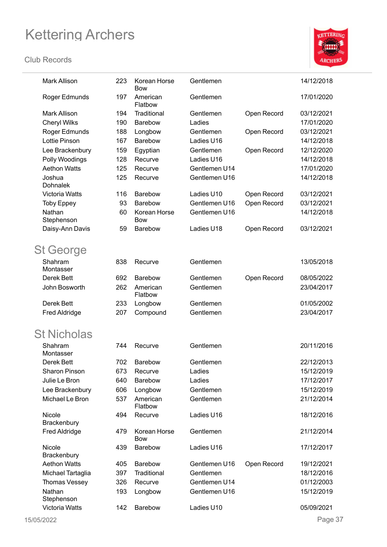

| <b>Mark Allison</b>       | 223 | Korean Horse<br><b>Bow</b> | Gentlemen     |             | 14/12/2018 |
|---------------------------|-----|----------------------------|---------------|-------------|------------|
| Roger Edmunds             | 197 | American<br>Flatbow        | Gentlemen     |             | 17/01/2020 |
| Mark Allison              | 194 | Traditional                | Gentlemen     | Open Record | 03/12/2021 |
| <b>Cheryl Wilks</b>       | 190 | Barebow                    | Ladies        |             | 17/01/2020 |
| Roger Edmunds             | 188 | Longbow                    | Gentlemen     | Open Record | 03/12/2021 |
| Lottie Pinson             | 167 | <b>Barebow</b>             | Ladies U16    |             | 14/12/2018 |
| Lee Brackenbury           | 159 | Egyptian                   | Gentlemen     | Open Record | 12/12/2020 |
| Polly Woodings            | 128 | Recurve                    | Ladies U16    |             | 14/12/2018 |
| <b>Aethon Watts</b>       | 125 | Recurve                    | Gentlemen U14 |             | 17/01/2020 |
| Joshua<br><b>Dohnalek</b> | 125 | Recurve                    | Gentlemen U16 |             | 14/12/2018 |
| Victoria Watts            | 116 | <b>Barebow</b>             | Ladies U10    | Open Record | 03/12/2021 |
| <b>Toby Eppey</b>         | 93  | Barebow                    | Gentlemen U16 | Open Record | 03/12/2021 |
| Nathan<br>Stephenson      | 60  | Korean Horse<br><b>Bow</b> | Gentlemen U16 |             | 14/12/2018 |
| Daisy-Ann Davis           | 59  | Barebow                    | Ladies U18    | Open Record | 03/12/2021 |
| <b>St George</b>          |     |                            |               |             |            |
| Shahram<br>Montasser      | 838 | Recurve                    | Gentlemen     |             | 13/05/2018 |
| Derek Bett                | 692 | <b>Barebow</b>             | Gentlemen     | Open Record | 08/05/2022 |
| John Bosworth             | 262 | American<br>Flatbow        | Gentlemen     |             | 23/04/2017 |
| Derek Bett                | 233 | Longbow                    | Gentlemen     |             | 01/05/2002 |
| <b>Fred Aldridge</b>      | 207 | Compound                   | Gentlemen     |             | 23/04/2017 |
| <b>St Nicholas</b>        |     |                            |               |             |            |
| Shahram<br>Montasser      | 744 | Recurve                    | Gentlemen     |             | 20/11/2016 |
| Derek Bett                | 702 | Barebow                    | Gentlemen     |             | 22/12/2013 |
| <b>Sharon Pinson</b>      | 673 | Recurve                    | Ladies        |             | 15/12/2019 |
| Julie Le Bron             | 640 | Barebow                    | Ladies        |             | 17/12/2017 |
| Lee Brackenbury           | 606 | Longbow                    | Gentlemen     |             | 15/12/2019 |
| Michael Le Bron           | 537 | American<br>Flatbow        | Gentlemen     |             | 21/12/2014 |
| Nicole<br>Brackenbury     | 494 | Recurve                    | Ladies U16    |             | 18/12/2016 |
| <b>Fred Aldridge</b>      | 479 | Korean Horse<br><b>Bow</b> | Gentlemen     |             | 21/12/2014 |
| Nicole<br>Brackenbury     | 439 | Barebow                    | Ladies U16    |             | 17/12/2017 |
| <b>Aethon Watts</b>       | 405 | Barebow                    | Gentlemen U16 | Open Record | 19/12/2021 |
| Michael Tartaglia         | 397 | Traditional                | Gentlemen     |             | 18/12/2016 |
| Thomas Vessey             | 326 | Recurve                    | Gentlemen U14 |             | 01/12/2003 |
| Nathan<br>Stephenson      | 193 | Longbow                    | Gentlemen U16 |             | 15/12/2019 |
| Victoria Watts            | 142 | Barebow                    | Ladies U10    |             | 05/09/2021 |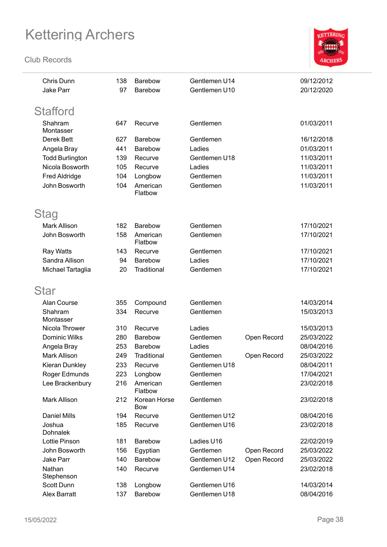

| Chris Dunn<br><b>Jake Parr</b> | 138<br>97 | Barebow<br>Barebow         | Gentlemen U14<br>Gentlemen U10 |             | 09/12/2012<br>20/12/2020 |
|--------------------------------|-----------|----------------------------|--------------------------------|-------------|--------------------------|
|                                |           |                            |                                |             |                          |
| <b>Stafford</b>                |           |                            |                                |             |                          |
| Shahram<br>Montasser           | 647       | Recurve                    | Gentlemen                      |             | 01/03/2011               |
| <b>Derek Bett</b>              | 627       | <b>Barebow</b>             | Gentlemen                      |             | 16/12/2018               |
| Angela Bray                    | 441       | <b>Barebow</b>             | Ladies                         |             | 01/03/2011               |
| <b>Todd Burlington</b>         | 139       | Recurve                    | Gentlemen U18                  |             | 11/03/2011               |
| Nicola Bosworth                | 105       | Recurve                    | Ladies                         |             | 11/03/2011               |
| <b>Fred Aldridge</b>           | 104       | Longbow                    | Gentlemen                      |             | 11/03/2011               |
| John Bosworth                  | 104       | American<br>Flatbow        | Gentlemen                      |             | 11/03/2011               |
| Stag                           |           |                            |                                |             |                          |
| <b>Mark Allison</b>            | 182       | Barebow                    | Gentlemen                      |             | 17/10/2021               |
| John Bosworth                  | 158       | American                   | Gentlemen                      |             | 17/10/2021               |
|                                |           | Flatbow                    |                                |             |                          |
| <b>Ray Watts</b>               | 143       | Recurve                    | Gentlemen                      |             | 17/10/2021               |
| Sandra Allison                 | 94        | <b>Barebow</b>             | Ladies                         |             | 17/10/2021               |
| Michael Tartaglia              | 20        | Traditional                | Gentlemen                      |             | 17/10/2021               |
| Star                           |           |                            |                                |             |                          |
| Alan Course                    | 355       | Compound                   | Gentlemen                      |             | 14/03/2014               |
| Shahram                        | 334       | Recurve                    | Gentlemen                      |             | 15/03/2013               |
| Montasser<br>Nicola Thrower    | 310       | Recurve                    | Ladies                         |             | 15/03/2013               |
| <b>Dominic Wilks</b>           | 280       | Barebow                    | Gentlemen                      | Open Record | 25/03/2022               |
| Angela Bray                    | 253       | Barebow                    | Ladies                         |             | 08/04/2016               |
| <b>Mark Allison</b>            | 249       | Traditional                | Gentlemen                      | Open Record | 25/03/2022               |
| Kieran Dunkley                 | 233       | Recurve                    | Gentlemen U18                  |             | 08/04/2011               |
| Roger Edmunds                  | 223       | Longbow                    | Gentlemen                      |             | 17/04/2021               |
| Lee Brackenbury                | 216       | American                   | Gentlemen                      |             | 23/02/2018               |
|                                |           | Flatbow                    |                                |             |                          |
| Mark Allison                   | 212       | Korean Horse<br><b>Bow</b> | Gentlemen                      |             | 23/02/2018               |
| <b>Daniel Mills</b>            | 194       | Recurve                    | Gentlemen U12                  |             | 08/04/2016               |
| Joshua<br><b>Dohnalek</b>      | 185       | Recurve                    | Gentlemen U16                  |             | 23/02/2018               |
| Lottie Pinson                  | 181       | Barebow                    | Ladies U16                     |             | 22/02/2019               |
| John Bosworth                  | 156       | Egyptian                   | Gentlemen                      | Open Record | 25/03/2022               |
| <b>Jake Parr</b>               | 140       | Barebow                    | Gentlemen U12                  | Open Record | 25/03/2022               |
| Nathan<br>Stephenson           | 140       | Recurve                    | Gentlemen U14                  |             | 23/02/2018               |
| Scott Dunn                     | 138       | Longbow                    | Gentlemen U16                  |             | 14/03/2014               |
| <b>Alex Barratt</b>            | 137       | Barebow                    | Gentlemen U18                  |             | 08/04/2016               |
|                                |           |                            |                                |             |                          |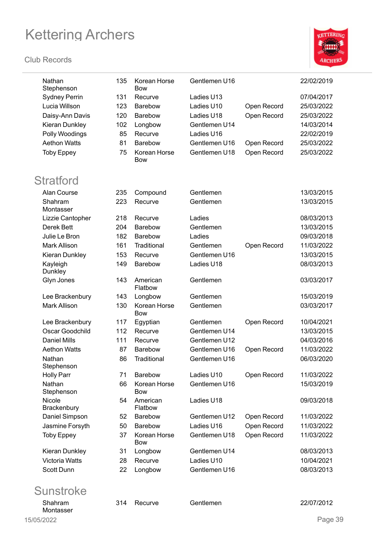#### **Club Records**



| Nathan<br>Stephenson  | 135 | Korean Horse<br><b>Bow</b> | Gentlemen U16 |             | 22/02/2019 |
|-----------------------|-----|----------------------------|---------------|-------------|------------|
| <b>Sydney Perrin</b>  | 131 | Recurve                    | Ladies U13    |             | 07/04/2017 |
| Lucia Willson         | 123 | <b>Barebow</b>             | Ladies U10    | Open Record | 25/03/2022 |
| Daisy-Ann Davis       | 120 | Barebow                    | Ladies U18    | Open Record | 25/03/2022 |
| <b>Kieran Dunkley</b> | 102 | Longbow                    | Gentlemen U14 |             | 14/03/2014 |
| Polly Woodings        | 85  | Recurve                    | Ladies U16    |             | 22/02/2019 |
| <b>Aethon Watts</b>   | 81  | Barebow                    | Gentlemen U16 | Open Record | 25/03/2022 |
| <b>Toby Eppey</b>     | 75  | Korean Horse<br><b>Bow</b> | Gentlemen U18 | Open Record | 25/03/2022 |
| <b>Stratford</b>      |     |                            |               |             |            |
| Alan Course           | 235 | Compound                   | Gentlemen     |             | 13/03/2015 |
| Shahram               | 223 | Recurve                    | Gentlemen     |             | 13/03/2015 |
| Montasser             |     |                            |               |             |            |
| Lizzie Cantopher      | 218 | Recurve                    | Ladies        |             | 08/03/2013 |
| <b>Derek Bett</b>     | 204 | <b>Barebow</b>             | Gentlemen     |             | 13/03/2015 |
| Julie Le Bron         | 182 | Barebow                    | Ladies        |             | 09/03/2018 |
| <b>Mark Allison</b>   | 161 | Traditional                | Gentlemen     | Open Record | 11/03/2022 |
| Kieran Dunkley        | 153 | Recurve                    | Gentlemen U16 |             | 13/03/2015 |
| Kayleigh<br>Dunkley   | 149 | Barebow                    | Ladies U18    |             | 08/03/2013 |
| Glyn Jones            | 143 | American<br>Flatbow        | Gentlemen     |             | 03/03/2017 |
| Lee Brackenbury       | 143 | Longbow                    | Gentlemen     |             | 15/03/2019 |
| <b>Mark Allison</b>   | 130 | Korean Horse<br><b>Bow</b> | Gentlemen     |             | 03/03/2017 |
| Lee Brackenbury       | 117 | Egyptian                   | Gentlemen     | Open Record | 10/04/2021 |
| Oscar Goodchild       | 112 | Recurve                    | Gentlemen U14 |             | 13/03/2015 |
| <b>Daniel Mills</b>   | 111 | Recurve                    | Gentlemen U12 |             | 04/03/2016 |
| <b>Aethon Watts</b>   | 87  | Barebow                    | Gentlemen U16 | Open Record | 11/03/2022 |
| Nathan<br>Stephenson  | 86  | Traditional                | Gentlemen U16 |             | 06/03/2020 |
| <b>Holly Parr</b>     | 71  | <b>Barebow</b>             | Ladies U10    | Open Record | 11/03/2022 |
| Nathan<br>Stephenson  | 66  | Korean Horse<br><b>Bow</b> | Gentlemen U16 |             | 15/03/2019 |
| Nicole<br>Brackenbury | 54  | American<br>Flatbow        | Ladies U18    |             | 09/03/2018 |
| Daniel Simpson        | 52  | <b>Barebow</b>             | Gentlemen U12 | Open Record | 11/03/2022 |
| Jasmine Forsyth       | 50  | Barebow                    | Ladies U16    | Open Record | 11/03/2022 |
| <b>Toby Eppey</b>     | 37  | Korean Horse<br><b>Bow</b> | Gentlemen U18 | Open Record | 11/03/2022 |
| <b>Kieran Dunkley</b> | 31  | Longbow                    | Gentlemen U14 |             | 08/03/2013 |
| Victoria Watts        | 28  | Recurve                    | Ladies U10    |             | 10/04/2021 |
| Scott Dunn            | 22  | Longbow                    | Gentlemen U16 |             | 08/03/2013 |
|                       |     |                            |               |             |            |

#### **Sunstroke** Shahram Montasser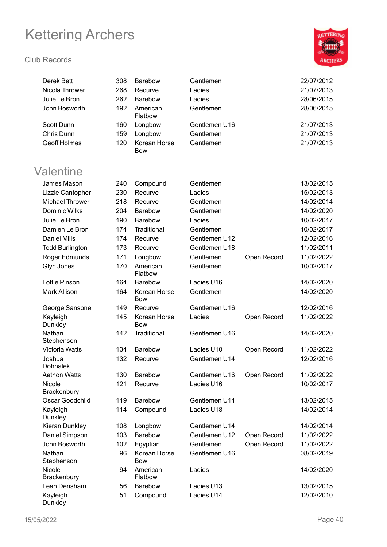

| Derek Bett<br>Nicola Thrower | 308<br>268 | <b>Barebow</b><br>Recurve  | Gentlemen<br>Ladies |             | 22/07/2012<br>21/07/2013 |
|------------------------------|------------|----------------------------|---------------------|-------------|--------------------------|
|                              |            |                            |                     |             |                          |
| Julie Le Bron                | 262        | <b>Barebow</b>             | Ladies              |             | 28/06/2015               |
| John Bosworth                | 192        | American<br>Flatbow        | Gentlemen           |             | 28/06/2015               |
| <b>Scott Dunn</b>            | 160        | Longbow                    | Gentlemen U16       |             | 21/07/2013               |
| Chris Dunn                   | 159        | Longbow                    | Gentlemen           |             | 21/07/2013               |
| <b>Geoff Holmes</b>          | 120        | Korean Horse<br><b>Bow</b> | Gentlemen           |             | 21/07/2013               |
| Valentine                    |            |                            |                     |             |                          |
| James Mason                  | 240        | Compound                   | Gentlemen           |             | 13/02/2015               |
| Lizzie Cantopher             | 230        | Recurve                    | Ladies              |             | 15/02/2013               |
| <b>Michael Thrower</b>       | 218        | Recurve                    | Gentlemen           |             | 14/02/2014               |
| <b>Dominic Wilks</b>         | 204        | <b>Barebow</b>             | Gentlemen           |             | 14/02/2020               |
| Julie Le Bron                | 190        | Barebow                    | Ladies              |             | 10/02/2017               |
| Damien Le Bron               | 174        | Traditional                | Gentlemen           |             | 10/02/2017               |
| <b>Daniel Mills</b>          | 174        | Recurve                    | Gentlemen U12       |             | 12/02/2016               |
| <b>Todd Burlington</b>       | 173        | Recurve                    | Gentlemen U18       |             | 11/02/2011               |
| Roger Edmunds                | 171        | Longbow                    | Gentlemen           | Open Record | 11/02/2022               |
| Glyn Jones                   | 170        | American                   | Gentlemen           |             | 10/02/2017               |
|                              |            | Flatbow                    |                     |             |                          |
| <b>Lottie Pinson</b>         | 164        | Barebow                    | Ladies U16          |             | 14/02/2020               |
| <b>Mark Allison</b>          | 164        | Korean Horse<br><b>Bow</b> | Gentlemen           |             | 14/02/2020               |
| George Sansone               | 149        | Recurve                    | Gentlemen U16       |             | 12/02/2016               |
| Kayleigh<br>Dunkley          | 145        | Korean Horse<br><b>Bow</b> | Ladies              | Open Record | 11/02/2022               |
| Nathan<br>Stephenson         | 142        | Traditional                | Gentlemen U16       |             | 14/02/2020               |
| Victoria Watts               | 134        | <b>Barebow</b>             | Ladies U10          | Open Record | 11/02/2022               |
| Joshua<br><b>Dohnalek</b>    | 132        | Recurve                    | Gentlemen U14       |             | 12/02/2016               |
| <b>Aethon Watts</b>          | 130        | <b>Barebow</b>             | Gentlemen U16       | Open Record | 11/02/2022               |
| Nicole<br>Brackenbury        | 121        | Recurve                    | Ladies U16          |             | 10/02/2017               |
| Oscar Goodchild              | 119        | Barebow                    | Gentlemen U14       |             | 13/02/2015               |
| Kayleigh<br>Dunkley          | 114        | Compound                   | Ladies U18          |             | 14/02/2014               |
| Kieran Dunkley               | 108        | Longbow                    | Gentlemen U14       |             | 14/02/2014               |
| Daniel Simpson               | 103        | <b>Barebow</b>             | Gentlemen U12       | Open Record | 11/02/2022               |
| John Bosworth                | 102        | Egyptian                   | Gentlemen           | Open Record | 11/02/2022               |
| Nathan<br>Stephenson         | 96         | Korean Horse<br><b>Bow</b> | Gentlemen U16       |             | 08/02/2019               |
| Nicole<br>Brackenbury        | 94         | American<br>Flatbow        | Ladies              |             | 14/02/2020               |
| Leah Densham                 | 56         | Barebow                    | Ladies U13          |             | 13/02/2015               |
| Kayleigh<br>Dunkley          | 51         | Compound                   | Ladies U14          |             | 12/02/2010               |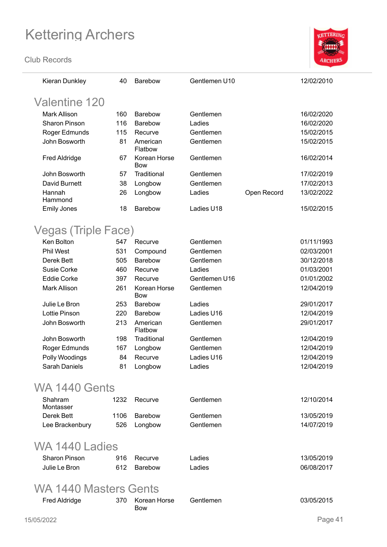

| <b>Kieran Dunkley</b>        | 40   | <b>Barebow</b>             | Gentlemen U10 |             | 12/02/2010 |
|------------------------------|------|----------------------------|---------------|-------------|------------|
| <b>Valentine 120</b>         |      |                            |               |             |            |
| <b>Mark Allison</b>          | 160  | <b>Barebow</b>             | Gentlemen     |             | 16/02/2020 |
| <b>Sharon Pinson</b>         | 116  | <b>Barebow</b>             | Ladies        |             | 16/02/2020 |
| Roger Edmunds                | 115  | Recurve                    | Gentlemen     |             | 15/02/2015 |
| John Bosworth                | 81   | American<br>Flatbow        | Gentlemen     |             | 15/02/2015 |
| <b>Fred Aldridge</b>         | 67   | Korean Horse<br><b>Bow</b> | Gentlemen     |             | 16/02/2014 |
| John Bosworth                | 57   | Traditional                | Gentlemen     |             | 17/02/2019 |
| David Burnett                | 38   | Longbow                    | Gentlemen     |             | 17/02/2013 |
| Hannah<br>Hammond            | 26   | Longbow                    | Ladies        | Open Record | 13/02/2022 |
| <b>Emily Jones</b>           | 18   | Barebow                    | Ladies U18    |             | 15/02/2015 |
| Vegas (Triple Face)          |      |                            |               |             |            |
| Ken Bolton                   | 547  | Recurve                    | Gentlemen     |             | 01/11/1993 |
| <b>Phil West</b>             | 531  | Compound                   | Gentlemen     |             | 02/03/2001 |
| Derek Bett                   | 505  | Barebow                    | Gentlemen     |             | 30/12/2018 |
| Susie Corke                  | 460  | Recurve                    | Ladies        |             | 01/03/2001 |
| <b>Eddie Corke</b>           | 397  | Recurve                    | Gentlemen U16 |             | 01/01/2002 |
| <b>Mark Allison</b>          | 261  | Korean Horse<br><b>Bow</b> | Gentlemen     |             | 12/04/2019 |
| Julie Le Bron                | 253  | Barebow                    | Ladies        |             | 29/01/2017 |
| <b>Lottie Pinson</b>         | 220  | Barebow                    | Ladies U16    |             | 12/04/2019 |
| John Bosworth                | 213  | American<br>Flatbow        | Gentlemen     |             | 29/01/2017 |
| John Bosworth                | 198  | Traditional                | Gentlemen     |             | 12/04/2019 |
| Roger Edmunds                | 167  | Longbow                    | Gentlemen     |             | 12/04/2019 |
| Polly Woodings               | 84   | Recurve                    | Ladies U16    |             | 12/04/2019 |
| <b>Sarah Daniels</b>         | 81   | Longbow                    | Ladies        |             | 12/04/2019 |
| <b>WA 1440 Gents</b>         |      |                            |               |             |            |
| Shahram<br>Montasser         | 1232 | Recurve                    | Gentlemen     |             | 12/10/2014 |
| Derek Bett                   | 1106 | <b>Barebow</b>             | Gentlemen     |             | 13/05/2019 |
| Lee Brackenbury              | 526  | Longbow                    | Gentlemen     |             | 14/07/2019 |
| WA 1440 Ladies               |      |                            |               |             |            |
| Sharon Pinson                | 916  | Recurve                    | Ladies        |             | 13/05/2019 |
| Julie Le Bron                | 612  | <b>Barebow</b>             | Ladies        |             | 06/08/2017 |
| <b>WA 1440 Masters Gents</b> |      |                            |               |             |            |
| <b>Fred Aldridge</b>         | 370  | Korean Horse<br><b>Bow</b> | Gentlemen     |             | 03/05/2015 |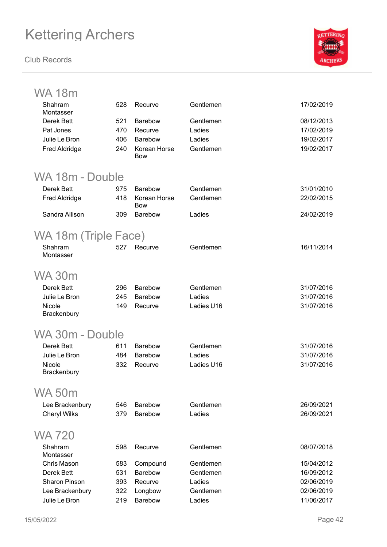

| WA 18m                      |            |                            |                     |            |
|-----------------------------|------------|----------------------------|---------------------|------------|
| Shahram                     | 528        | Recurve                    | Gentlemen           | 17/02/2019 |
| Montasser                   |            |                            |                     |            |
| Derek Bett                  | 521        | <b>Barebow</b>             | Gentlemen           | 08/12/2013 |
| Pat Jones                   | 470        | Recurve                    | Ladies              | 17/02/2019 |
| Julie Le Bron               | 406        | <b>Barebow</b>             | Ladies              | 19/02/2017 |
| <b>Fred Aldridge</b>        | 240        | Korean Horse<br><b>Bow</b> | Gentlemen           | 19/02/2017 |
| WA 18m - Double             |            |                            |                     |            |
| Derek Bett                  | 975        | <b>Barebow</b>             | Gentlemen           | 31/01/2010 |
| <b>Fred Aldridge</b>        | 418        | Korean Horse<br><b>Bow</b> | Gentlemen           | 22/02/2015 |
| Sandra Allison              | 309        | Barebow                    | Ladies              | 24/02/2019 |
| WA 18m (Triple Face)        |            |                            |                     |            |
| Shahram                     | 527        | Recurve                    | Gentlemen           | 16/11/2014 |
| Montasser                   |            |                            |                     |            |
| <b>WA 30m</b>               |            |                            |                     |            |
|                             |            | <b>Barebow</b>             |                     | 31/07/2016 |
| Derek Bett<br>Julie Le Bron | 296<br>245 | <b>Barebow</b>             | Gentlemen<br>Ladies | 31/07/2016 |
| Nicole                      | 149        | Recurve                    | Ladies U16          | 31/07/2016 |
| Brackenbury                 |            |                            |                     |            |
| WA 30m - Double             |            |                            |                     |            |
| Derek Bett                  | 611        | <b>Barebow</b>             | Gentlemen           | 31/07/2016 |
| Julie Le Bron               | 484        | <b>Barebow</b>             | Ladies              | 31/07/2016 |
| <b>Nicole</b>               | 332        | Recurve                    | Ladies U16          | 31/07/2016 |
| <b>Brackenbury</b>          |            |                            |                     |            |
| <b>WA 50m</b>               |            |                            |                     |            |
| Lee Brackenbury             | 546        | <b>Barebow</b>             | Gentlemen           | 26/09/2021 |
| <b>Cheryl Wilks</b>         | 379        | Barebow                    | Ladies              | 26/09/2021 |
| <b>WA 720</b>               |            |                            |                     |            |
| Shahram<br>Montasser        | 598        | Recurve                    | Gentlemen           | 08/07/2018 |
| Chris Mason                 | 583        | Compound                   | Gentlemen           | 15/04/2012 |
| Derek Bett                  | 531        | <b>Barebow</b>             | Gentlemen           | 16/09/2012 |
| <b>Sharon Pinson</b>        | 393        | Recurve                    | Ladies              | 02/06/2019 |
| Lee Brackenbury             | 322        | Longbow                    | Gentlemen           | 02/06/2019 |
| Julie Le Bron               | 219        | Barebow                    | Ladies              | 11/06/2017 |
|                             |            |                            |                     |            |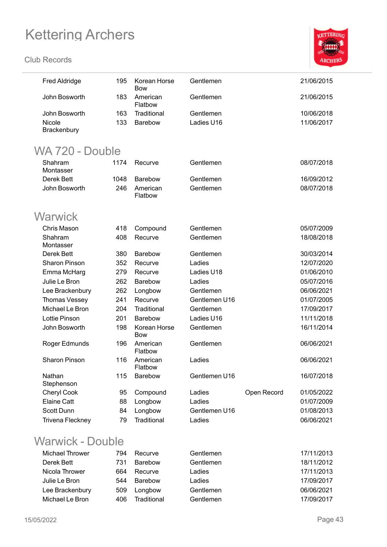#### **Club Records**



| <b>Fred Aldridge</b>    | 195  | Korean Horse<br><b>Bow</b> | Gentlemen     |             | 21/06/2015 |
|-------------------------|------|----------------------------|---------------|-------------|------------|
| John Bosworth           | 183  | American<br>Flatbow        | Gentlemen     |             | 21/06/2015 |
| John Bosworth           | 163  | Traditional                | Gentlemen     |             | 10/06/2018 |
| Nicole<br>Brackenbury   | 133  | Barebow                    | Ladies U16    |             | 11/06/2017 |
| WA 720 - Double         |      |                            |               |             |            |
| Shahram<br>Montasser    | 1174 | Recurve                    | Gentlemen     |             | 08/07/2018 |
| Derek Bett              | 1048 | <b>Barebow</b>             | Gentlemen     |             | 16/09/2012 |
| John Bosworth           | 246  | American<br>Flatbow        | Gentlemen     |             | 08/07/2018 |
| Warwick                 |      |                            |               |             |            |
| Chris Mason             | 418  | Compound                   | Gentlemen     |             | 05/07/2009 |
| Shahram<br>Montasser    | 408  | Recurve                    | Gentlemen     |             | 18/08/2018 |
| Derek Bett              | 380  | Barebow                    | Gentlemen     |             | 30/03/2014 |
| <b>Sharon Pinson</b>    | 352  | Recurve                    | Ladies        |             | 12/07/2020 |
| Emma McHarg             | 279  | Recurve                    | Ladies U18    |             | 01/06/2010 |
| Julie Le Bron           | 262  | Barebow                    | Ladies        |             | 05/07/2016 |
| Lee Brackenbury         | 262  | Longbow                    | Gentlemen     |             | 06/06/2021 |
| Thomas Vessey           | 241  | Recurve                    | Gentlemen U16 |             | 01/07/2005 |
| Michael Le Bron         | 204  | Traditional                | Gentlemen     |             | 17/09/2017 |
| <b>Lottie Pinson</b>    | 201  | <b>Barebow</b>             | Ladies U16    |             | 11/11/2018 |
| John Bosworth           | 198  | Korean Horse<br><b>Bow</b> | Gentlemen     |             | 16/11/2014 |
| Roger Edmunds           | 196  | American<br>Flatbow        | Gentlemen     |             | 06/06/2021 |
| Sharon Pinson           | 116  | American<br>Flatbow        | Ladies        |             | 06/06/2021 |
| Nathan<br>Stephenson    | 115  | Barebow                    | Gentlemen U16 |             | 16/07/2018 |
| Cheryl Cook             | 95   | Compound                   | Ladies        | Open Record | 01/05/2022 |
| <b>Elaine Catt</b>      | 88   | Longbow                    | Ladies        |             | 01/07/2009 |
| Scott Dunn              | 84   | Longbow                    | Gentlemen U16 |             | 01/08/2013 |
| <b>Trivena Fleckney</b> | 79   | Traditional                | Ladies        |             | 06/06/2021 |
|                         |      |                            |               |             |            |

### Warwick - Double

| Michael Thrower | 794 | Recurve     | Gentlemen | 17/11/2013 |
|-----------------|-----|-------------|-----------|------------|
| Derek Bett      | 731 | Barebow     | Gentlemen | 18/11/2012 |
| Nicola Thrower  | 664 | Recurve     | Ladies    | 17/11/2013 |
| Julie Le Bron   | 544 | Barebow     | Ladies    | 17/09/2017 |
| Lee Brackenbury | 509 | Longbow     | Gentlemen | 06/06/2021 |
| Michael Le Bron | 406 | Traditional | Gentlemen | 17/09/2017 |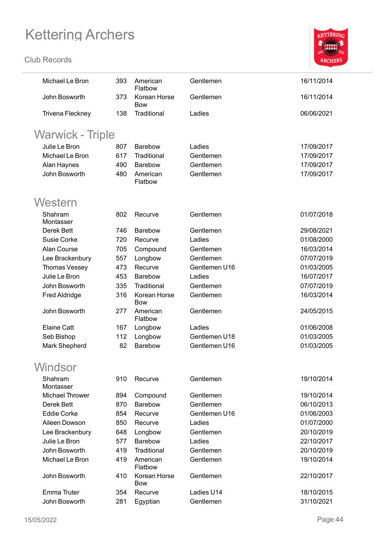

| Michael Le Bron         | 393 | American<br>Flatbow        | Gentlemen     | 16/11/2014 |
|-------------------------|-----|----------------------------|---------------|------------|
| John Bosworth           | 373 | Korean Horse<br><b>Bow</b> | Gentlemen     | 16/11/2014 |
| <b>Trivena Fleckney</b> | 138 | Traditional                | Ladies        | 06/06/2021 |
| Warwick - Triple        |     |                            |               |            |
| Julie Le Bron           | 807 | <b>Barebow</b>             | Ladies        | 17/09/2017 |
| Michael Le Bron         | 617 | Traditional                | Gentlemen     | 17/09/2017 |
| Alan Haynes             | 490 | Barebow                    | Gentlemen     | 17/09/2017 |
| John Bosworth           | 480 | American<br>Flatbow        | Gentlemen     | 17/09/2017 |
| Western                 |     |                            |               |            |
| Shahram<br>Montasser    | 802 | Recurve                    | Gentlemen     | 01/07/2018 |
| Derek Bett              | 746 | <b>Barebow</b>             | Gentlemen     | 29/08/2021 |
| Susie Corke             | 720 | Recurve                    | Ladies        | 01/08/2000 |
| Alan Course             | 705 | Compound                   | Gentlemen     | 16/03/2014 |
| Lee Brackenbury         | 557 | Longbow                    | Gentlemen     | 07/07/2019 |
| Thomas Vessey           | 473 | Recurve                    | Gentlemen U16 | 01/03/2005 |
| Julie Le Bron           | 453 | Barebow                    | Ladies        | 16/07/2017 |
| John Bosworth           | 335 | Traditional                | Gentlemen     | 07/07/2019 |
| <b>Fred Aldridge</b>    | 316 | Korean Horse<br><b>Bow</b> | Gentlemen     | 16/03/2014 |
| John Bosworth           | 277 | American<br>Flatbow        | Gentlemen     | 24/05/2015 |
| <b>Elaine Catt</b>      | 167 | Longbow                    | Ladies        | 01/06/2008 |
| Seb Bishop              | 112 | Longbow                    | Gentlemen U18 | 01/03/2005 |
| Mark Shepherd           | 82  | Barebow                    | Gentlemen U16 | 01/03/2005 |
| Windsor                 |     |                            |               |            |
| Shahram<br>Montasser    | 910 | Recurve                    | Gentlemen     | 19/10/2014 |
| <b>Michael Thrower</b>  | 894 | Compound                   | Gentlemen     | 19/10/2014 |
| Derek Bett              | 870 | Barebow                    | Gentlemen     | 06/10/2013 |
| <b>Eddie Corke</b>      | 854 | Recurve                    | Gentlemen U16 | 01/06/2003 |
| Aileen Dowson           | 850 | Recurve                    | Ladies        | 01/07/2000 |
| Lee Brackenbury         | 648 | Longbow                    | Gentlemen     | 20/10/2019 |
| Julie Le Bron           | 577 | Barebow                    | Ladies        | 22/10/2017 |
| John Bosworth           | 419 | Traditional                | Gentlemen     | 20/10/2019 |
| Michael Le Bron         | 419 | American<br>Flatbow        | Gentlemen     | 19/10/2014 |
| John Bosworth           | 410 | Korean Horse<br><b>Bow</b> | Gentlemen     | 22/10/2017 |
| <b>Emma Truter</b>      | 354 | Recurve                    | Ladies U14    | 18/10/2015 |
| John Bosworth           | 281 | Egyptian                   | Gentlemen     | 31/10/2021 |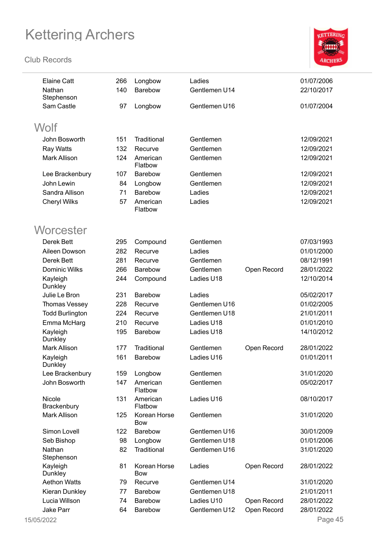

| <b>Elaine Catt</b>     | 266 | Longbow                    | Ladies        |             | 01/07/2006 |
|------------------------|-----|----------------------------|---------------|-------------|------------|
| Nathan<br>Stephenson   | 140 | <b>Barebow</b>             | Gentlemen U14 |             | 22/10/2017 |
| Sam Castle             | 97  | Longbow                    | Gentlemen U16 |             | 01/07/2004 |
| Wolf                   |     |                            |               |             |            |
| John Bosworth          | 151 | Traditional                | Gentlemen     |             | 12/09/2021 |
| <b>Ray Watts</b>       | 132 | Recurve                    | Gentlemen     |             | 12/09/2021 |
| <b>Mark Allison</b>    | 124 | American<br>Flatbow        | Gentlemen     |             | 12/09/2021 |
| Lee Brackenbury        | 107 | Barebow                    | Gentlemen     |             | 12/09/2021 |
| John Lewin             | 84  | Longbow                    | Gentlemen     |             | 12/09/2021 |
| Sandra Allison         | 71  | <b>Barebow</b>             | Ladies        |             | 12/09/2021 |
| <b>Cheryl Wilks</b>    | 57  | American<br>Flatbow        | Ladies        |             | 12/09/2021 |
| Worcester              |     |                            |               |             |            |
| <b>Derek Bett</b>      | 295 | Compound                   | Gentlemen     |             | 07/03/1993 |
| Aileen Dowson          | 282 | Recurve                    | Ladies        |             | 01/01/2000 |
| Derek Bett             | 281 | Recurve                    | Gentlemen     |             | 08/12/1991 |
| <b>Dominic Wilks</b>   | 266 | <b>Barebow</b>             | Gentlemen     | Open Record | 28/01/2022 |
| Kayleigh<br>Dunkley    | 244 | Compound                   | Ladies U18    |             | 12/10/2014 |
| Julie Le Bron          | 231 | <b>Barebow</b>             | Ladies        |             | 05/02/2017 |
| Thomas Vessey          | 228 | Recurve                    | Gentlemen U16 |             | 01/02/2005 |
| <b>Todd Burlington</b> | 224 | Recurve                    | Gentlemen U18 |             | 21/01/2011 |
| Emma McHarg            | 210 | Recurve                    | Ladies U18    |             | 01/01/2010 |
| Kayleigh<br>Dunkley    | 195 | Barebow                    | Ladies U18    |             | 14/10/2012 |
| <b>Mark Allison</b>    | 177 | Traditional                | Gentlemen     | Open Record | 28/01/2022 |
| Kayleigh<br>Dunkley    | 161 | <b>Barebow</b>             | Ladies U16    |             | 01/01/2011 |
| Lee Brackenbury        | 159 | Longbow                    | Gentlemen     |             | 31/01/2020 |
| John Bosworth          | 147 | American<br>Flatbow        | Gentlemen     |             | 05/02/2017 |
| Nicole<br>Brackenbury  | 131 | American<br>Flatbow        | Ladies U16    |             | 08/10/2017 |
| <b>Mark Allison</b>    | 125 | Korean Horse<br><b>Bow</b> | Gentlemen     |             | 31/01/2020 |
| Simon Lovell           | 122 | <b>Barebow</b>             | Gentlemen U16 |             | 30/01/2009 |
| Seb Bishop             | 98  | Longbow                    | Gentlemen U18 |             | 01/01/2006 |
| Nathan<br>Stephenson   | 82  | Traditional                | Gentlemen U16 |             | 31/01/2020 |
| Kayleigh<br>Dunkley    | 81  | Korean Horse<br><b>Bow</b> | Ladies        | Open Record | 28/01/2022 |
| <b>Aethon Watts</b>    | 79  | Recurve                    | Gentlemen U14 |             | 31/01/2020 |
| Kieran Dunkley         | 77  | <b>Barebow</b>             | Gentlemen U18 |             | 21/01/2011 |
| Lucia Willson          | 74  | <b>Barebow</b>             | Ladies U10    | Open Record | 28/01/2022 |
| Jake Parr              | 64  | Barebow                    | Gentlemen U12 | Open Record | 28/01/2022 |
| 15/05/2022             |     |                            |               |             | Page 45    |